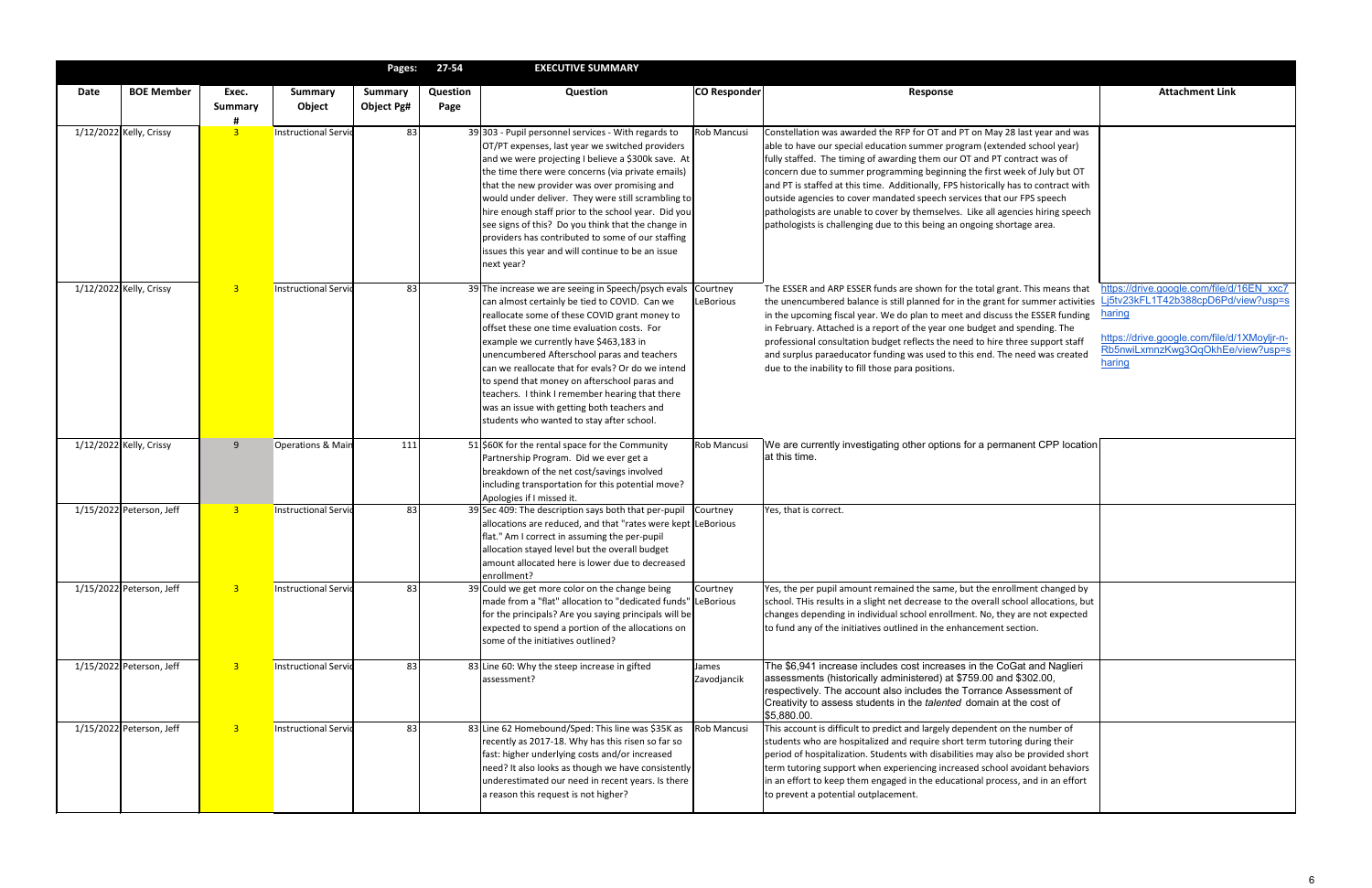|      |                          |                         |                             | Pages:                              | 27-54                   | <b>EXECUTIVE SUMMARY</b>                                                                                                                                                                                                                                                                                                                                                                                                                                                                                                                                     |                      |                                                                                                                                                                                                                                                                                                                                                                                                                                                                                                                                                                                                                                                 |                                                                                                                               |
|------|--------------------------|-------------------------|-----------------------------|-------------------------------------|-------------------------|--------------------------------------------------------------------------------------------------------------------------------------------------------------------------------------------------------------------------------------------------------------------------------------------------------------------------------------------------------------------------------------------------------------------------------------------------------------------------------------------------------------------------------------------------------------|----------------------|-------------------------------------------------------------------------------------------------------------------------------------------------------------------------------------------------------------------------------------------------------------------------------------------------------------------------------------------------------------------------------------------------------------------------------------------------------------------------------------------------------------------------------------------------------------------------------------------------------------------------------------------------|-------------------------------------------------------------------------------------------------------------------------------|
| Date | <b>BOE Member</b>        | Exec.<br>Summary        | <b>Summary</b><br>Object    | <b>Summary</b><br><b>Object Pg#</b> | <b>Question</b><br>Page | Question                                                                                                                                                                                                                                                                                                                                                                                                                                                                                                                                                     | <b>CO Responder</b>  | <b>Response</b>                                                                                                                                                                                                                                                                                                                                                                                                                                                                                                                                                                                                                                 | <b>Attachment Link</b>                                                                                                        |
|      | 1/12/2022 Kelly, Crissy  | $\overline{\mathbf{3}}$ | Instructional Servid        | 83                                  |                         | 39 303 - Pupil personnel services - With regards to<br>OT/PT expenses, last year we switched providers<br>and we were projecting I believe a \$300k save. At<br>the time there were concerns (via private emails)<br>that the new provider was over promising and<br>would under deliver. They were still scrambling to<br>hire enough staff prior to the school year. Did you<br>see signs of this? Do you think that the change in<br>providers has contributed to some of our staffing<br>issues this year and will continue to be an issue<br>next year? | Rob Mancusi          | Constellation was awarded the RFP for OT and PT on May 28 last year and was<br>able to have our special education summer program (extended school year)<br>fully staffed. The timing of awarding them our OT and PT contract was of<br>concern due to summer programming beginning the first week of July but OT<br>and PT is staffed at this time. Additionally, FPS historically has to contract with<br>outside agencies to cover mandated speech services that our FPS speech<br>pathologists are unable to cover by themselves. Like all agencies hiring speech<br>pathologists is challenging due to this being an ongoing shortage area. |                                                                                                                               |
|      | 1/12/2022 Kelly, Crissy  | $\overline{3}$          | <b>Instructional Servid</b> | 83                                  |                         | 39 The increase we are seeing in Speech/psych evals Courtney<br>can almost certainly be tied to COVID. Can we<br>reallocate some of these COVID grant money to<br>offset these one time evaluation costs. For<br>example we currently have \$463,183 in<br>unencumbered Afterschool paras and teachers<br>can we reallocate that for evals? Or do we intend<br>to spend that money on afterschool paras and<br>teachers. I think I remember hearing that there<br>was an issue with getting both teachers and<br>students who wanted to stay after school.   | LeBorious            | The ESSER and ARP ESSER funds are shown for the total grant. This means that<br>the unencumbered balance is still planned for in the grant for summer activities Lj5tv23kFL1T42b388cpD6Pd/view?usp=s<br><u>haring</u><br>in the upcoming fiscal year. We do plan to meet and discuss the ESSER funding<br>in February. Attached is a report of the year one budget and spending. The<br>professional consultation budget reflects the need to hire three support staff<br>and surplus paraeducator funding was used to this end. The need was created<br>haring<br>due to the inability to fill those para positions.                           | https://drive.google.com/file/d/16EN xxc7<br>https://drive.google.com/file/d/1XMoyljr-n-<br>Rb5nwiLxmnzKwg3QqOkhEe/view?usp=s |
|      | 1/12/2022 Kelly, Crissy  | 9                       | Operations & Main           | 111                                 |                         | 51 \$60K for the rental space for the Community<br>Partnership Program. Did we ever get a<br>breakdown of the net cost/savings involved<br>including transportation for this potential move?<br>Apologies if I missed it.                                                                                                                                                                                                                                                                                                                                    | Rob Mancusi          | We are currently investigating other options for a permanent CPP location<br>at this time.                                                                                                                                                                                                                                                                                                                                                                                                                                                                                                                                                      |                                                                                                                               |
|      | 1/15/2022 Peterson, Jeff | 3                       | <b>Instructional Servid</b> | 83                                  |                         | 39 Sec 409: The description says both that per-pupil<br>allocations are reduced, and that "rates were kept LeBorious<br>flat." Am I correct in assuming the per-pupil<br>allocation stayed level but the overall budget<br>amount allocated here is lower due to decreased<br>enrollment?                                                                                                                                                                                                                                                                    | Courtney             | Yes, that is correct.                                                                                                                                                                                                                                                                                                                                                                                                                                                                                                                                                                                                                           |                                                                                                                               |
|      | 1/15/2022 Peterson, Jeff | $\overline{3}$          | <b>Instructional Servid</b> | 83                                  |                         | 39 Could we get more color on the change being<br>made from a "flat" allocation to "dedicated funds" LeBorious<br>for the principals? Are you saying principals will be<br>expected to spend a portion of the allocations on<br>some of the initiatives outlined?                                                                                                                                                                                                                                                                                            | Courtney             | Yes, the per pupil amount remained the same, but the enrollment changed by<br>school. THis results in a slight net decrease to the overall school allocations, but<br>changes depending in individual school enrollment. No, they are not expected<br>to fund any of the initiatives outlined in the enhancement section.                                                                                                                                                                                                                                                                                                                       |                                                                                                                               |
|      | 1/15/2022 Peterson, Jeff | $\overline{\mathbf{3}}$ | Instructional Servid        | 83                                  |                         | 83 Line 60: Why the steep increase in gifted<br>assessment?                                                                                                                                                                                                                                                                                                                                                                                                                                                                                                  | James<br>Zavodjancik | The \$6,941 increase includes cost increases in the CoGat and Naglieri<br>assessments (historically administered) at \$759.00 and \$302.00,<br>respectively. The account also includes the Torrance Assessment of<br>Creativity to assess students in the <i>talented</i> domain at the cost of<br>\$5,880.00.                                                                                                                                                                                                                                                                                                                                  |                                                                                                                               |
|      | 1/15/2022 Peterson, Jeff | $\overline{\mathbf{3}}$ | <b>Instructional Servid</b> | 83                                  |                         | 83 Line 62 Homebound/Sped: This line was \$35K as<br>recently as 2017-18. Why has this risen so far so<br>fast: higher underlying costs and/or increased<br>need? It also looks as though we have consistently<br>underestimated our need in recent years. Is there<br>a reason this request is not higher?                                                                                                                                                                                                                                                  | Rob Mancusi          | This account is difficult to predict and largely dependent on the number of<br>students who are hospitalized and require short term tutoring during their<br>period of hospitalization. Students with disabilities may also be provided short<br>term tutoring support when experiencing increased school avoidant behaviors<br>in an effort to keep them engaged in the educational process, and in an effort<br>to prevent a potential outplacement.                                                                                                                                                                                          |                                                                                                                               |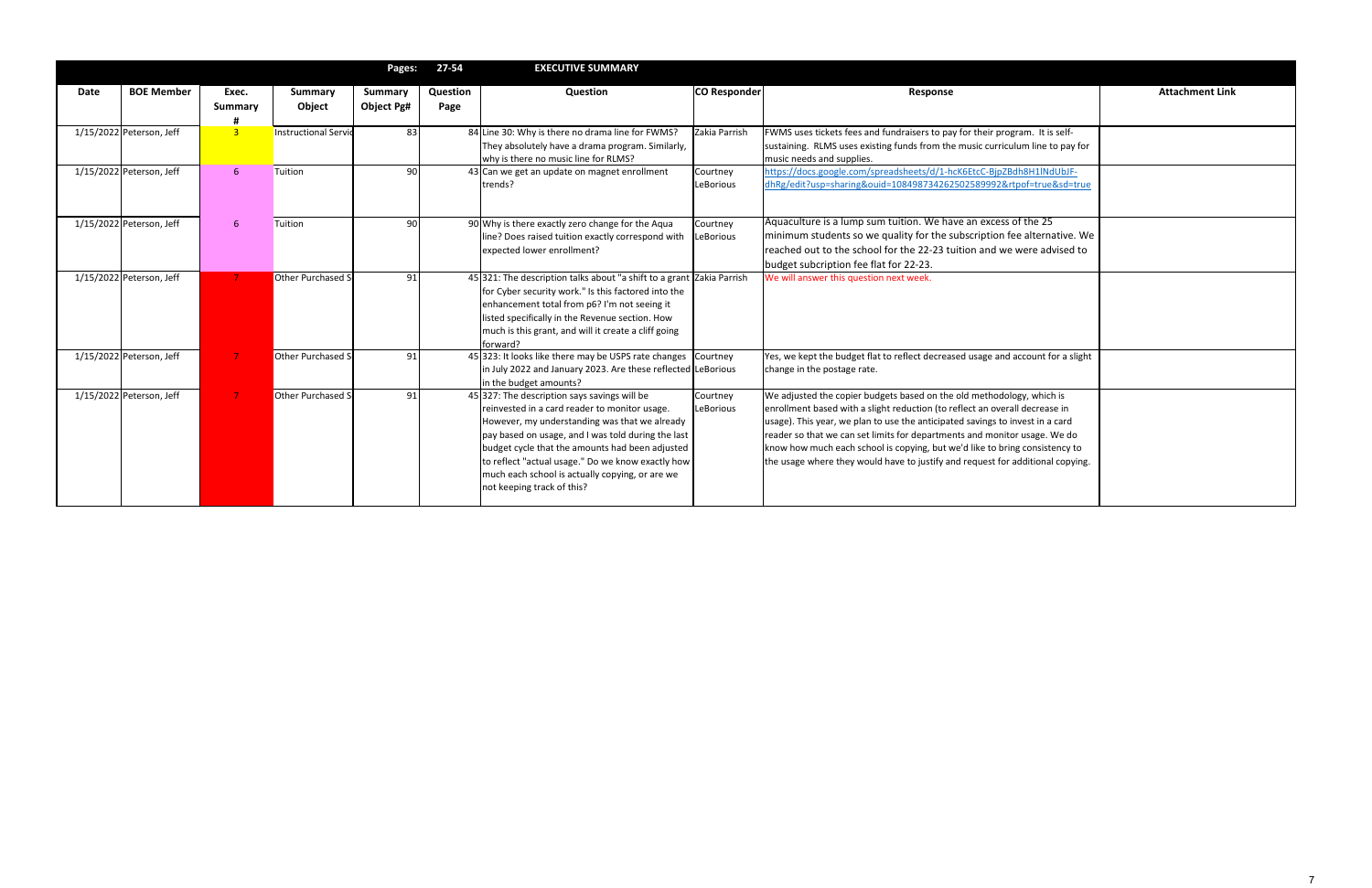|      |                          |                |                             | Pages:         | 27-54    | <b>EXECUTIVE SUMMARY</b>                                                               |               |                                                                                  |                        |
|------|--------------------------|----------------|-----------------------------|----------------|----------|----------------------------------------------------------------------------------------|---------------|----------------------------------------------------------------------------------|------------------------|
| Date | <b>BOE Member</b>        | Exec.          | <b>Summary</b>              | <b>Summary</b> | Question | Question                                                                               | CO Responder  | Response                                                                         | <b>Attachment Link</b> |
|      |                          | <b>Summary</b> | Object                      | Object Pg#     | Page     |                                                                                        |               |                                                                                  |                        |
|      | 1/15/2022 Peterson, Jeff | 3 <sup>°</sup> | <b>Instructional Servid</b> | 83             |          | 84 Line 30: Why is there no drama line for FWMS?                                       | Zakia Parrish | FWMS uses tickets fees and fundraisers to pay for their program. It is self-     |                        |
|      |                          |                |                             |                |          | They absolutely have a drama program. Similarly,                                       |               | sustaining. RLMS uses existing funds from the music curriculum line to pay for   |                        |
|      |                          |                |                             |                |          | why is there no music line for RLMS?                                                   |               | music needs and supplies.                                                        |                        |
|      | 1/15/2022 Peterson, Jeff | $6^{\circ}$    | Tuition                     | 90             |          | 43 Can we get an update on magnet enrollment                                           | Courtney      | https://docs.google.com/spreadsheets/d/1-hcK6EtcC-BjpZBdh8H1lNdUbJF-             |                        |
|      |                          |                |                             |                |          | trends?                                                                                | LeBorious     | dhRg/edit?usp=sharing&ouid=108498734262502589992&rtpof=true&sd=true              |                        |
|      |                          |                |                             |                |          |                                                                                        |               |                                                                                  |                        |
|      | 1/15/2022 Peterson, Jeff | -6             | Tuition                     | 90             |          | 90 Why is there exactly zero change for the Aqua                                       | Courtney      | Aquaculture is a lump sum tuition. We have an excess of the 25                   |                        |
|      |                          |                |                             |                |          | line? Does raised tuition exactly correspond with                                      | LeBorious     | minimum students so we quality for the subscription fee alternative. We          |                        |
|      |                          |                |                             |                |          | expected lower enrollment?                                                             |               | reached out to the school for the 22-23 tuition and we were advised to           |                        |
|      |                          |                |                             |                |          |                                                                                        |               | budget subcription fee flat for 22-23.                                           |                        |
|      | 1/15/2022 Peterson, Jeff |                | Other Purchased S           | 91             |          | 45 321: The description talks about "a shift to a grant Zakia Parrish                  |               | We will answer this question next week.                                          |                        |
|      |                          |                |                             |                |          | for Cyber security work." Is this factored into the                                    |               |                                                                                  |                        |
|      |                          |                |                             |                |          | enhancement total from p6? I'm not seeing it                                           |               |                                                                                  |                        |
|      |                          |                |                             |                |          | listed specifically in the Revenue section. How                                        |               |                                                                                  |                        |
|      |                          |                |                             |                |          | much is this grant, and will it create a cliff going                                   |               |                                                                                  |                        |
|      |                          |                |                             |                |          | forward?                                                                               |               |                                                                                  |                        |
|      | 1/15/2022 Peterson, Jeff |                | Other Purchased S           | 91             |          | 45 323: It looks like there may be USPS rate changes Courtney                          |               | Yes, we kept the budget flat to reflect decreased usage and account for a slight |                        |
|      |                          |                |                             |                |          | in July 2022 and January 2023. Are these reflected LeBorious<br>in the budget amounts? |               | change in the postage rate.                                                      |                        |
|      | 1/15/2022 Peterson, Jeff |                | Other Purchased S           | 91             |          | 45 327: The description says savings will be                                           | Courtney      | We adjusted the copier budgets based on the old methodology, which is            |                        |
|      |                          |                |                             |                |          | reinvested in a card reader to monitor usage.                                          | LeBorious     | enrollment based with a slight reduction (to reflect an overall decrease in      |                        |
|      |                          |                |                             |                |          | However, my understanding was that we already                                          |               | usage). This year, we plan to use the anticipated savings to invest in a card    |                        |
|      |                          |                |                             |                |          | pay based on usage, and I was told during the last                                     |               | reader so that we can set limits for departments and monitor usage. We do        |                        |
|      |                          |                |                             |                |          | budget cycle that the amounts had been adjusted                                        |               | know how much each school is copying, but we'd like to bring consistency to      |                        |
|      |                          |                |                             |                |          | to reflect "actual usage." Do we know exactly how                                      |               | the usage where they would have to justify and request for additional copying.   |                        |
|      |                          |                |                             |                |          | much each school is actually copying, or are we                                        |               |                                                                                  |                        |
|      |                          |                |                             |                |          | not keeping track of this?                                                             |               |                                                                                  |                        |
|      |                          |                |                             |                |          |                                                                                        |               |                                                                                  |                        |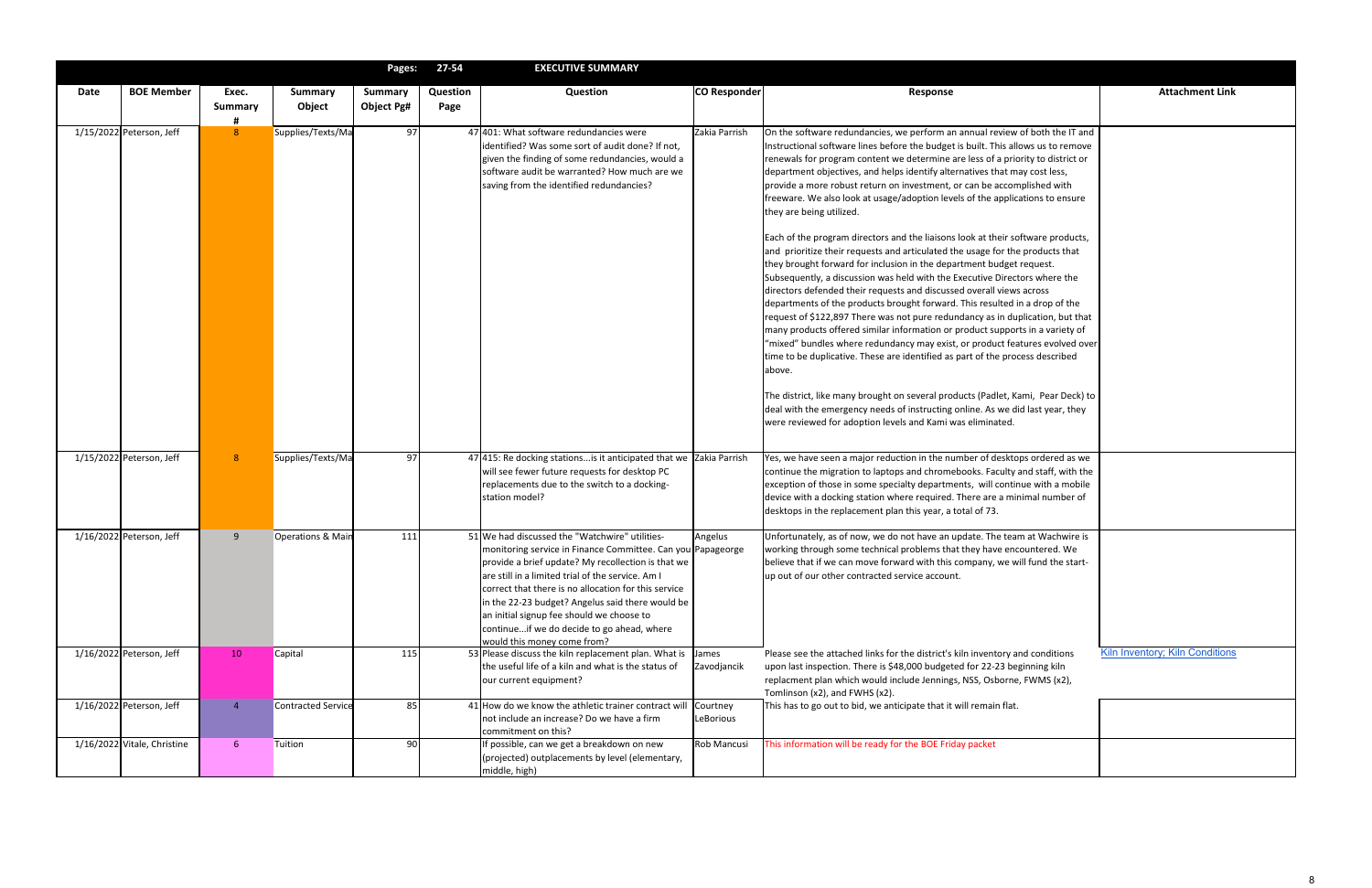|      |                             |                              |                          | Pages:                       | 27-54            | <b>EXECUTIVE SUMMARY</b>                                                                                                                                                                                                                                                                                                                                                                                                                                           |                       |                                                                                                                                                                                                                                                                                                                                                                                                                                                                                                                                                                                                                                                                                                                          |
|------|-----------------------------|------------------------------|--------------------------|------------------------------|------------------|--------------------------------------------------------------------------------------------------------------------------------------------------------------------------------------------------------------------------------------------------------------------------------------------------------------------------------------------------------------------------------------------------------------------------------------------------------------------|-----------------------|--------------------------------------------------------------------------------------------------------------------------------------------------------------------------------------------------------------------------------------------------------------------------------------------------------------------------------------------------------------------------------------------------------------------------------------------------------------------------------------------------------------------------------------------------------------------------------------------------------------------------------------------------------------------------------------------------------------------------|
| Date | <b>BOE Member</b>           | Exec.<br><b>Summary</b><br>Ħ | <b>Summary</b><br>Object | <b>Summary</b><br>Object Pg# | Question<br>Page | Question                                                                                                                                                                                                                                                                                                                                                                                                                                                           | CO Responder          |                                                                                                                                                                                                                                                                                                                                                                                                                                                                                                                                                                                                                                                                                                                          |
|      | 1/15/2022 Peterson, Jeff    | 8                            | Supplies/Texts/Ma        | 97                           |                  | 47 401: What software redundancies were<br>identified? Was some sort of audit done? If not,<br>given the finding of some redundancies, would a<br>software audit be warranted? How much are we<br>saving from the identified redundancies?                                                                                                                                                                                                                         | Zakia Parrish         | On the software redundancies,<br>Instructional software lines befo<br>renewals for program content v<br>department objectives, and helj<br>provide a more robust return or<br>freeware. We also look at usage<br>they are being utilized.<br>Each of the program directors a<br>and prioritize their requests an<br>they brought forward for inclusi<br>Subsequently, a discussion was<br>directors defended their reques<br>departments of the products br<br>request of \$122,897 There was<br>many products offered similar in<br>"mixed" bundles where redund<br>time to be duplicative. These ar<br>above.<br>The district, like many brought o<br>deal with the emergency needs<br>were reviewed for adoption leve |
|      | 1/15/2022 Peterson, Jeff    | 8                            | Supplies/Texts/Ma        | 97                           |                  | $47$ 415: Re docking stations is it anticipated that we Zakia Parrish<br>will see fewer future requests for desktop PC<br>replacements due to the switch to a docking-<br>station model?                                                                                                                                                                                                                                                                           |                       | Yes, we have seen a major redu<br>continue the migration to lapto<br>exception of those in some sped<br>device with a docking station wl<br>desktops in the replacement pla                                                                                                                                                                                                                                                                                                                                                                                                                                                                                                                                              |
|      | 1/16/2022 Peterson, Jeff    | 9                            | Operations & Main        | 111                          |                  | 51 We had discussed the "Watchwire" utilities-<br>monitoring service in Finance Committee. Can you Papageorge<br>provide a brief update? My recollection is that we<br>$ $ are still in a limited trial of the service. Am I<br>correct that there is no allocation for this service<br>in the 22-23 budget? Angelus said there would be<br>an initial signup fee should we choose to<br>continueif we do decide to go ahead, where<br>would this money come from? | Angelus               | Unfortunately, as of now, we do<br>working through some technica<br>believe that if we can move forv<br>up out of our other contracted :                                                                                                                                                                                                                                                                                                                                                                                                                                                                                                                                                                                 |
|      | 1/16/2022 Peterson, Jeff    | 10                           | Capital                  | 115                          |                  | 53 Please discuss the kiln replacement plan. What is<br>the useful life of a kiln and what is the status of<br>our current equipment?                                                                                                                                                                                                                                                                                                                              | James<br>Zavodjancik  | Please see the attached links for<br>upon last inspection. There is \$4<br>replacment plan which would in                                                                                                                                                                                                                                                                                                                                                                                                                                                                                                                                                                                                                |
|      | 1/16/2022 Peterson, Jeff    | $\overline{4}$               | Contracted Service       | 85                           |                  | 41 How do we know the athletic trainer contract will<br>not include an increase? Do we have a firm<br>commitment on this?                                                                                                                                                                                                                                                                                                                                          | Courtney<br>LeBorious | Tomlinson (x2), and FWHS (x2).<br>This has to go out to bid, we ant                                                                                                                                                                                                                                                                                                                                                                                                                                                                                                                                                                                                                                                      |
|      | 1/16/2022 Vitale, Christine | 6                            | Tuition                  | 90                           |                  | If possible, can we get a breakdown on new<br>(projected) outplacements by level (elementary,<br>middle, high)                                                                                                                                                                                                                                                                                                                                                     | Rob Mancusi           | This information will be ready fo                                                                                                                                                                                                                                                                                                                                                                                                                                                                                                                                                                                                                                                                                        |

| <b>IIVL JUIVIIVIANI</b>                                                                                                                                                                                                                                                |                                               |                                                                                                                                                                                                                                                                                                                                                                                                                                                                                                                                                                                                                                                                                                                                                                                                                                                                                                                                                                                                                                                                 |                                        |
|------------------------------------------------------------------------------------------------------------------------------------------------------------------------------------------------------------------------------------------------------------------------|-----------------------------------------------|-----------------------------------------------------------------------------------------------------------------------------------------------------------------------------------------------------------------------------------------------------------------------------------------------------------------------------------------------------------------------------------------------------------------------------------------------------------------------------------------------------------------------------------------------------------------------------------------------------------------------------------------------------------------------------------------------------------------------------------------------------------------------------------------------------------------------------------------------------------------------------------------------------------------------------------------------------------------------------------------------------------------------------------------------------------------|----------------------------------------|
| <b>Question</b>                                                                                                                                                                                                                                                        | <b>CO Responder</b>                           | Response                                                                                                                                                                                                                                                                                                                                                                                                                                                                                                                                                                                                                                                                                                                                                                                                                                                                                                                                                                                                                                                        | <b>Attachment Link</b>                 |
|                                                                                                                                                                                                                                                                        |                                               |                                                                                                                                                                                                                                                                                                                                                                                                                                                                                                                                                                                                                                                                                                                                                                                                                                                                                                                                                                                                                                                                 |                                        |
| redundancies were<br>e sort of audit done? If not,<br>some redundancies, would a<br>arranted? How much are we<br>stified redundancies?                                                                                                                                 | Zakia Parrish                                 | On the software redundancies, we perform an annual review of both the IT and<br>Instructional software lines before the budget is built. This allows us to remove<br>renewals for program content we determine are less of a priority to district or<br>department objectives, and helps identify alternatives that may cost less,<br>provide a more robust return on investment, or can be accomplished with<br>freeware. We also look at usage/adoption levels of the applications to ensure<br>they are being utilized.                                                                                                                                                                                                                                                                                                                                                                                                                                                                                                                                      |                                        |
|                                                                                                                                                                                                                                                                        |                                               | Each of the program directors and the liaisons look at their software products,<br>and prioritize their requests and articulated the usage for the products that<br>they brought forward for inclusion in the department budget request.<br>Subsequently, a discussion was held with the Executive Directors where the<br>directors defended their requests and discussed overall views across<br>departments of the products brought forward. This resulted in a drop of the<br>request of \$122,897 There was not pure redundancy as in duplication, but that<br>many products offered similar information or product supports in a variety of<br>"mixed" bundles where redundancy may exist, or product features evolved over<br>time to be duplicative. These are identified as part of the process described<br>above.<br>The district, like many brought on several products (Padlet, Kami, Pear Deck) to<br>deal with the emergency needs of instructing online. As we did last year, they<br>were reviewed for adoption levels and Kami was eliminated. |                                        |
| ionsis it anticipated that we Zakia Parrish<br>e requests for desktop PC<br>the switch to a docking-                                                                                                                                                                   |                                               | Yes, we have seen a major reduction in the number of desktops ordered as we<br>continue the migration to laptops and chromebooks. Faculty and staff, with the<br>exception of those in some specialty departments, will continue with a mobile<br>device with a docking station where required. There are a minimal number of<br>desktops in the replacement plan this year, a total of 73.                                                                                                                                                                                                                                                                                                                                                                                                                                                                                                                                                                                                                                                                     |                                        |
| e "Watchwire" utilities-<br>n Finance Committee. Can you Papageorge<br>te? My recollection is that we<br>rial of the service. Am I<br>no allocation for this service<br>? Angelus said there would be<br>should we choose to<br>lecide to go ahead, where<br>ome from? | Angelus                                       | Unfortunately, as of now, we do not have an update. The team at Wachwire is<br>working through some technical problems that they have encountered. We<br>believe that if we can move forward with this company, we will fund the start-<br>up out of our other contracted service account.                                                                                                                                                                                                                                                                                                                                                                                                                                                                                                                                                                                                                                                                                                                                                                      |                                        |
| In replacement plan. What is<br>In and what is the status of<br>ent?<br>e athletic trainer contract will<br>ase? Do we have a firm<br>:?                                                                                                                               | James<br>Zavodjancik<br>Courtney<br>LeBorious | Please see the attached links for the district's kiln inventory and conditions<br>upon last inspection. There is \$48,000 budgeted for 22-23 beginning kiln<br>replacment plan which would include Jennings, NSS, Osborne, FWMS (x2),<br>Tomlinson (x2), and FWHS (x2).<br>This has to go out to bid, we anticipate that it will remain flat.                                                                                                                                                                                                                                                                                                                                                                                                                                                                                                                                                                                                                                                                                                                   | <b>Kiln Inventory; Kiln Conditions</b> |
| et a breakdown on new<br>ments by level (elementary,                                                                                                                                                                                                                   | Rob Mancusi                                   | This information will be ready for the BOE Friday packet                                                                                                                                                                                                                                                                                                                                                                                                                                                                                                                                                                                                                                                                                                                                                                                                                                                                                                                                                                                                        |                                        |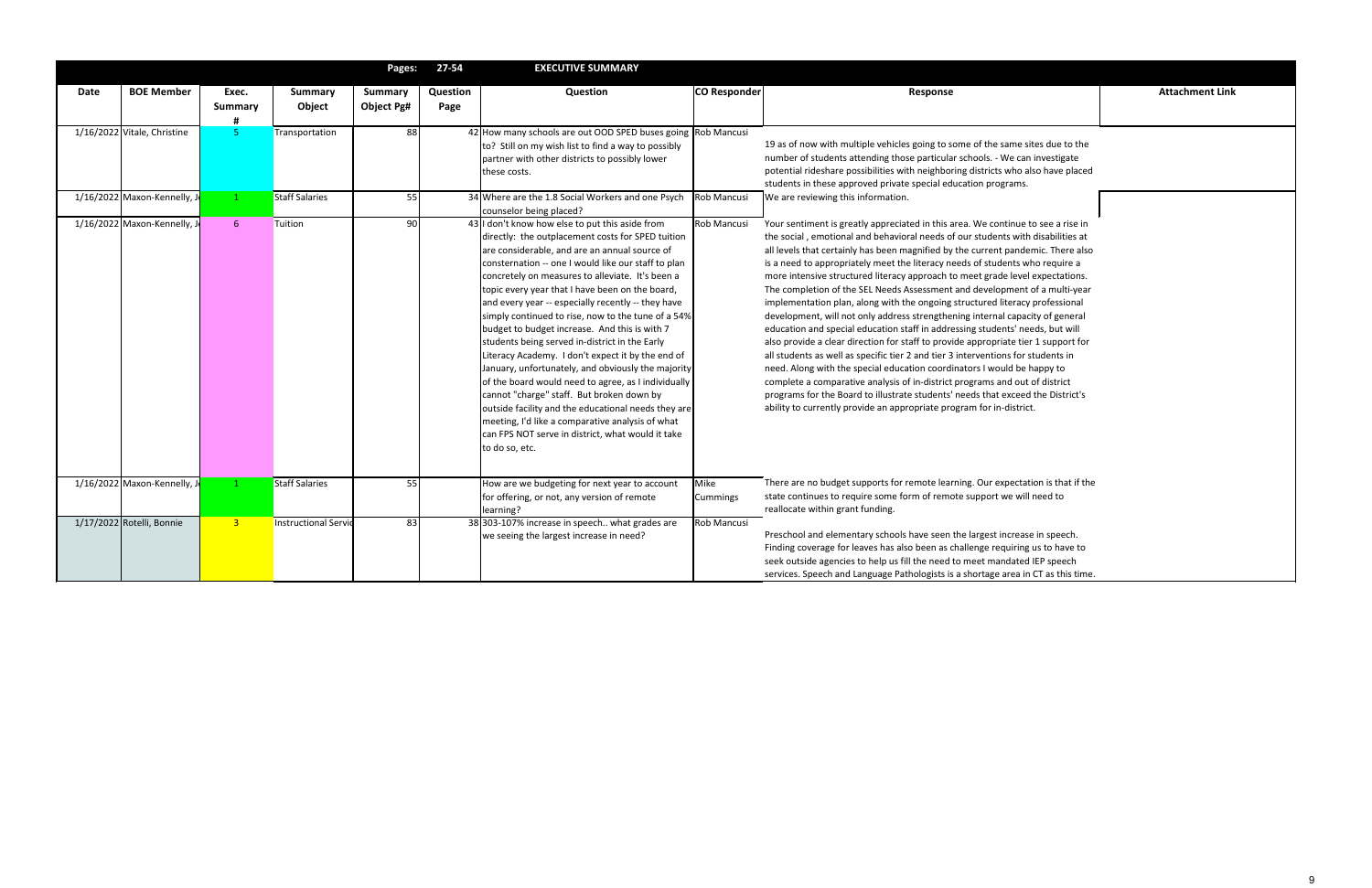If multiple vehicles going to some of the same sites due to the nts attending those particular schools. - We can investigate re possibilities with neighboring districts who also have placed studention proved private special education programs. g this information.

greatly appreciated in this area. We continue to see a rise in ional and behavioral needs of our students with disabilities at tainly has been magnified by the current pandemic. There also opriately meet the literacy needs of students who require a tructured literacy approach to meet grade level expectations. of the SEL Needs Assessment and development of a multi-year plan, along with the ongoing structured literacy professional ill not only address strengthening internal capacity of general ecial education staff in addressing students' needs, but will ear direction for staff to provide appropriate tier 1 support for ell as specific tier 2 and tier 3 interventions for students in the special education coordinators I would be happy to parative analysis of in-district programs and out of district **Board to illustrate students' needs that exceed the District's** ly provide an appropriate program for in-district.

dget supports for remote learning. Our expectation is that if the to require some form of remote support we will need to grant funding.

ementary schools have seen the largest increase in speech. for leaves has also been as challenge requiring us to have to ncies to help us fill the need to meet mandated IEP speech and Language Pathologists is a shortage area in CT as this time.

|      |                             |                       |                          | Pages:                       | $27 - 54$        | <b>EXECUTIVE SUMMARY</b>                                                                                                                                                                                                                                                                                                                                                                                                                                                                                                                                                                                                                                                                                                                                                                                                                                                                                                            |                     |                                                                                                                                                                                                                                                                                                                         |
|------|-----------------------------|-----------------------|--------------------------|------------------------------|------------------|-------------------------------------------------------------------------------------------------------------------------------------------------------------------------------------------------------------------------------------------------------------------------------------------------------------------------------------------------------------------------------------------------------------------------------------------------------------------------------------------------------------------------------------------------------------------------------------------------------------------------------------------------------------------------------------------------------------------------------------------------------------------------------------------------------------------------------------------------------------------------------------------------------------------------------------|---------------------|-------------------------------------------------------------------------------------------------------------------------------------------------------------------------------------------------------------------------------------------------------------------------------------------------------------------------|
| Date | <b>BOE Member</b>           | Exec.<br>Summary<br># | <b>Summary</b><br>Object | <b>Summary</b><br>Object Pg# | Question<br>Page | Question                                                                                                                                                                                                                                                                                                                                                                                                                                                                                                                                                                                                                                                                                                                                                                                                                                                                                                                            | <b>CO Responder</b> |                                                                                                                                                                                                                                                                                                                         |
|      | 1/16/2022 Vitale, Christine | 5                     | Transportation           | 88                           |                  | 42 How many schools are out OOD SPED buses going Rob Mancusi<br>to? Still on my wish list to find a way to possibly<br>partner with other districts to possibly lower<br>these costs.                                                                                                                                                                                                                                                                                                                                                                                                                                                                                                                                                                                                                                                                                                                                               |                     | 19 as of now with<br>number of studer<br>potential ridesha<br>students in these                                                                                                                                                                                                                                         |
|      | 1/16/2022 Maxon-Kennelly, J | $\mathbf{1}$          | <b>Staff Salaries</b>    | 55                           |                  | 34 Where are the 1.8 Social Workers and one Psych<br>counselor being placed?                                                                                                                                                                                                                                                                                                                                                                                                                                                                                                                                                                                                                                                                                                                                                                                                                                                        | Rob Mancusi         | We are reviewing                                                                                                                                                                                                                                                                                                        |
|      | 1/16/2022 Maxon-Kennelly, J | $6\phantom{1}$        | Tuition                  | 90                           |                  | 43 I don't know how else to put this aside from<br>directly: the outplacement costs for SPED tuition<br>are considerable, and are an annual source of<br>consternation -- one I would like our staff to plan<br>concretely on measures to alleviate. It's been a<br>topic every year that I have been on the board,<br>and every year -- especially recently -- they have<br>simply continued to rise, now to the tune of a 54%<br>budget to budget increase. And this is with 7<br>students being served in-district in the Early<br>Literacy Academy. I don't expect it by the end of<br>January, unfortunately, and obviously the majority<br>of the board would need to agree, as I individually<br>cannot "charge" staff. But broken down by<br>outside facility and the educational needs they are<br>meeting, I'd like a comparative analysis of what<br>can FPS NOT serve in district, what would it take<br>to do so, etc. | Rob Mancusi         | Your sentiment is<br>the social, emoti<br>all levels that cert<br>is a need to appro<br>more intensive st<br>The completion o<br>implementation p<br>development, wil<br>education and sp<br>also provide a cle<br>all students as we<br>need. Along with<br>complete a comp<br>programs for the<br>ability to currentl |
|      | 1/16/2022 Maxon-Kennelly, J | 1                     | <b>Staff Salaries</b>    | 55                           |                  | How are we budgeting for next year to account<br>for offering, or not, any version of remote<br>learning?                                                                                                                                                                                                                                                                                                                                                                                                                                                                                                                                                                                                                                                                                                                                                                                                                           | Mike<br>Cummings    | There are no bud<br>state continues to<br>reallocate within                                                                                                                                                                                                                                                             |
|      | 1/17/2022 Rotelli, Bonnie   | $\overline{3}$        | Instructional Servid     | 83                           |                  | 38 303-107% increase in speech what grades are<br>we seeing the largest increase in need?                                                                                                                                                                                                                                                                                                                                                                                                                                                                                                                                                                                                                                                                                                                                                                                                                                           | Rob Mancusi         | Preschool and ele<br>Finding coverage<br>seek outside ager<br>services. Speech a                                                                                                                                                                                                                                        |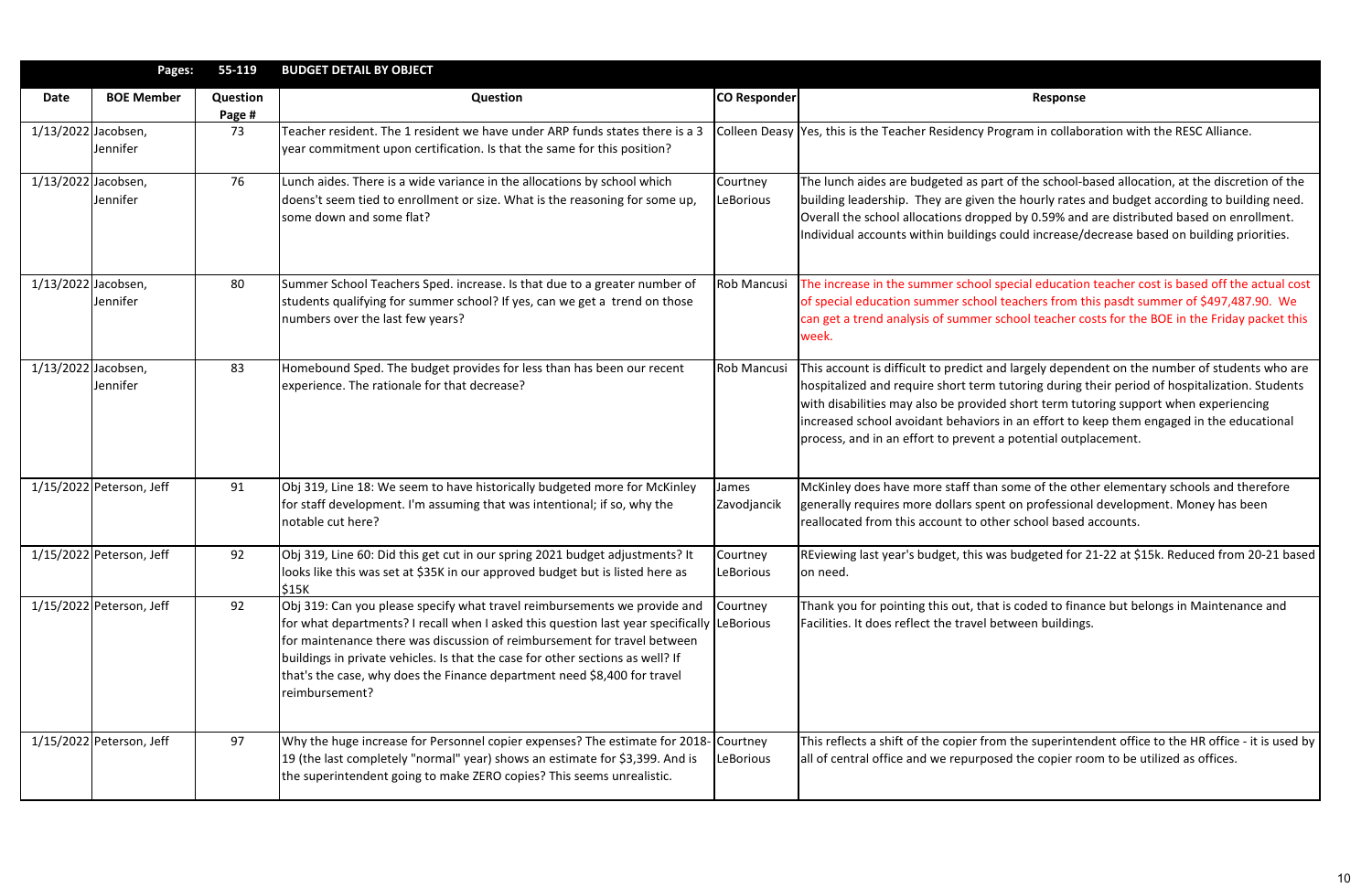|                     | Pages:                   | 55-119             | <b>BUDGET DETAIL BY OBJECT</b>                                                                                                                                                                                                                                                                                                                                                                                                      |                              |                                                                                                                                                                                                                                                                                          |
|---------------------|--------------------------|--------------------|-------------------------------------------------------------------------------------------------------------------------------------------------------------------------------------------------------------------------------------------------------------------------------------------------------------------------------------------------------------------------------------------------------------------------------------|------------------------------|------------------------------------------------------------------------------------------------------------------------------------------------------------------------------------------------------------------------------------------------------------------------------------------|
| Date                | <b>BOE Member</b>        | Question<br>Page # | <b>Question</b>                                                                                                                                                                                                                                                                                                                                                                                                                     | <b>CO Responder</b>          | Response                                                                                                                                                                                                                                                                                 |
| 1/13/2022 Jacobsen, | Jennifer                 | 73                 | Teacher resident. The 1 resident we have under ARP funds states there is a 3<br>year commitment upon certification. Is that the same for this position?                                                                                                                                                                                                                                                                             |                              | Colleen Deasy Yes, this is the Teacher Residency Program in collabo                                                                                                                                                                                                                      |
| 1/13/2022 Jacobsen, | Jennifer                 | 76                 | Lunch aides. There is a wide variance in the allocations by school which<br>doens't seem tied to enrollment or size. What is the reasoning for some up,<br>some down and some flat?                                                                                                                                                                                                                                                 | Courtney<br>LeBorious        | The lunch aides are budgeted as part of the school-l<br>building leadership. They are given the hourly rates<br>Overall the school allocations dropped by 0.59% and<br>Individual accounts within buildings could increase/                                                              |
| 1/13/2022 Jacobsen, | Jennifer                 | 80                 | Summer School Teachers Sped. increase. Is that due to a greater number of<br>students qualifying for summer school? If yes, can we get a trend on those<br>numbers over the last few years?                                                                                                                                                                                                                                         | Rob Mancusi                  | The increase in the summer school special education<br>of special education summer school teachers from t<br>can get a trend analysis of summer school teacher c<br>week.                                                                                                                |
| 1/13/2022 Jacobsen, | Jennifer                 | 83                 | Homebound Sped. The budget provides for less than has been our recent<br>experience. The rationale for that decrease?                                                                                                                                                                                                                                                                                                               | Rob Mancusi                  | This account is difficult to predict and largely depen<br>hospitalized and require short term tutoring during<br>with disabilities may also be provided short term tut<br>increased school avoidant behaviors in an effort to I<br>process, and in an effort to prevent a potential outp |
|                     | 1/15/2022 Peterson, Jeff | 91                 | Obj 319, Line 18: We seem to have historically budgeted more for McKinley<br>for staff development. I'm assuming that was intentional; if so, why the<br>notable cut here?                                                                                                                                                                                                                                                          | James<br>Zavodjancik         | McKinley does have more staff than some of the oth<br>generally requires more dollars spent on profession<br>reallocated from this account to other school based                                                                                                                         |
|                     | 1/15/2022 Peterson, Jeff | 92                 | Obj 319, Line 60: Did this get cut in our spring 2021 budget adjustments? It<br>looks like this was set at \$35K in our approved budget but is listed here as<br>\$15K                                                                                                                                                                                                                                                              | Courtney<br><b>LeBorious</b> | REviewing last year's budget, this was budgeted for<br>on need.                                                                                                                                                                                                                          |
|                     | 1/15/2022 Peterson, Jeff | 92                 | Obj 319: Can you please specify what travel reimbursements we provide and<br>for what departments? I recall when I asked this question last year specifically LeBorious<br>for maintenance there was discussion of reimbursement for travel between<br>buildings in private vehicles. Is that the case for other sections as well? If<br>that's the case, why does the Finance department need \$8,400 for travel<br>reimbursement? | Courtney                     | Thank you for pointing this out, that is coded to fina<br>Facilities. It does reflect the travel between building                                                                                                                                                                        |
|                     | 1/15/2022 Peterson, Jeff | 97                 | Why the huge increase for Personnel copier expenses? The estimate for 2018<br>19 (the last completely "normal" year) shows an estimate for \$3,399. And is<br>the superintendent going to make ZERO copies? This seems unrealistic.                                                                                                                                                                                                 | Courtney<br>LeBorious        | This reflects a shift of the copier from the superinte<br>all of central office and we repurposed the copier ro                                                                                                                                                                          |

gram in collaboration with the RESC Alliance.

of the school-based allocation, at the discretion of the he hourly rates and budget according to building need. d by 0.59% and are distributed based on enrollment. Individual accounts within could increase/decrease based on building priorities.

Recial education teacher cost is based off the actual cost eachers from this pasdt summer of \$497,487.90. We chool teacher costs for the BOE in the Friday packet this

I largely dependent on the number of students who are utoring during their period of hospitalization. Students I short term tutoring support when experiencing in an effort to keep them engaged in the educational potential outplacement.

some of the other elementary schools and therefore general conerally requires more professional development. Money has beent r school based accounts.

s budgeted for 21-22 at \$15k. Reduced from 20-21 based

is coded to finance but belongs in Maintenance and tween buildings.

I the superintendent office to the HR office - it is used by d the copier room to be utilized as offices.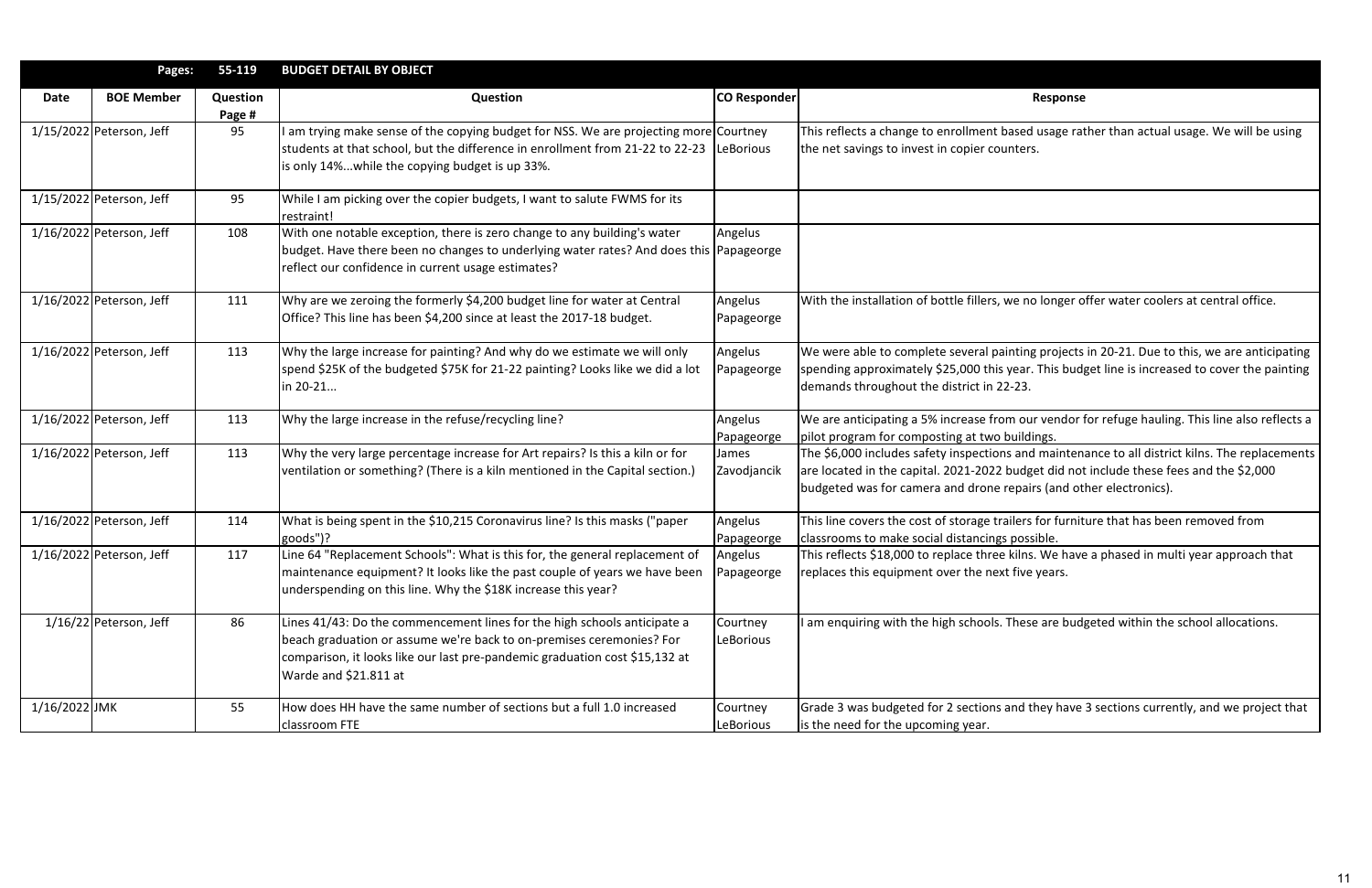|               | Pages:                     | 55-119             | <b>BUDGET DETAIL BY OBJECT</b>                                                                                                                                                                                                                           |                       |                                                                                                                                                                  |
|---------------|----------------------------|--------------------|----------------------------------------------------------------------------------------------------------------------------------------------------------------------------------------------------------------------------------------------------------|-----------------------|------------------------------------------------------------------------------------------------------------------------------------------------------------------|
| <b>Date</b>   | <b>BOE Member</b>          | Question<br>Page # | <b>Question</b>                                                                                                                                                                                                                                          | <b>CO Responder</b>   | Response                                                                                                                                                         |
|               | 1/15/2022 Peterson, Jeff   | 95                 | am trying make sense of the copying budget for NSS. We are projecting more Courtney<br>students at that school, but the difference in enrollment from 21-22 to 22-23<br>is only 14%while the copying budget is up 33%.                                   | LeBorious             | This reflects a change to enrollment based usage rat<br>the net savings to invest in copier counters.                                                            |
|               | 1/15/2022 Peterson, Jeff   | 95                 | While I am picking over the copier budgets, I want to salute FWMS for its<br>restraint!                                                                                                                                                                  |                       |                                                                                                                                                                  |
|               | 1/16/2022 Peterson, Jeff   | 108                | With one notable exception, there is zero change to any building's water<br>budget. Have there been no changes to underlying water rates? And does this Papageorge<br>reflect our confidence in current usage estimates?                                 | Angelus               |                                                                                                                                                                  |
|               | $1/16/2022$ Peterson, Jeff | 111                | Why are we zeroing the formerly \$4,200 budget line for water at Central<br>Office? This line has been \$4,200 since at least the 2017-18 budget.                                                                                                        | Angelus<br>Papageorge | With the installation of bottle fillers, we no longer o                                                                                                          |
|               | $1/16/2022$ Peterson, Jeff | 113                | Why the large increase for painting? And why do we estimate we will only<br>spend \$25K of the budgeted \$75K for 21-22 painting? Looks like we did a lot<br>in 20-21                                                                                    | Angelus<br>Papageorge | We were able to complete several painting projects<br>spending approximately \$25,000 this year. This bud<br>demands throughout the district in 22-23.           |
|               | $1/16/2022$ Peterson, Jeff | 113                | Why the large increase in the refuse/recycling line?                                                                                                                                                                                                     | Angelus<br>Papageorge | We are anticipating a 5% increase from our vendor f<br>pilot program for composting at two buildings.                                                            |
|               | 1/16/2022 Peterson, Jeff   | 113                | Why the very large percentage increase for Art repairs? Is this a kiln or for<br>ventilation or something? (There is a kiln mentioned in the Capital section.)                                                                                           | James<br>Zavodjancik  | The \$6,000 includes safety inspections and mainten<br>are located in the capital. 2021-2022 budget did not<br>budgeted was for camera and drone repairs (and ot |
|               | 1/16/2022 Peterson, Jeff   | 114                | What is being spent in the \$10,215 Coronavirus line? Is this masks ("paper<br>goods")?                                                                                                                                                                  | Angelus<br>Papageorge | This line covers the cost of storage trailers for furnit<br>classrooms to make social distancings possible.                                                      |
|               | $1/16/2022$ Peterson, Jeff | 117                | Line 64 "Replacement Schools": What is this for, the general replacement of<br>maintenance equipment? It looks like the past couple of years we have been<br>underspending on this line. Why the \$18K increase this year?                               | Angelus<br>Papageorge | This reflects \$18,000 to replace three kilns. We have<br>replaces this equipment over the next five years.                                                      |
|               | $1/16/22$ Peterson, Jeff   | 86                 | Lines 41/43: Do the commencement lines for the high schools anticipate a<br>beach graduation or assume we're back to on-premises ceremonies? For<br>comparison, it looks like our last pre-pandemic graduation cost \$15,132 at<br>Warde and \$21.811 at | Courtney<br>LeBorious | am enquiring with the high schools. These are bud                                                                                                                |
| 1/16/2022 JMK |                            | 55                 | How does HH have the same number of sections but a full 1.0 increased<br>classroom FTE                                                                                                                                                                   | Courtney<br>LeBorious | Grade 3 was budgeted for 2 sections and they have<br>is the need for the upcoming year.                                                                          |

based usage rather than actual usage. We will be using unters.

we no longer offer water coolers at central office.

ainting projects in 20-21. Due to this, we are anticipating spear. This budget line is increased to cover the painting  $2 - 23.$ 

om our vendor for refuge hauling. This line also reflects a buildings.

Ins and maintenance to all district kilns. The replacements budget did not include these fees and the \$2,000 repairs (and other electronics).

ailers for furniture that has been removed from s possible.

this reflects in multi year approach that in this extend in multi year approach that t five years.

These are budgeted within the school allocations.

# and they have 3 sections currently, and we project that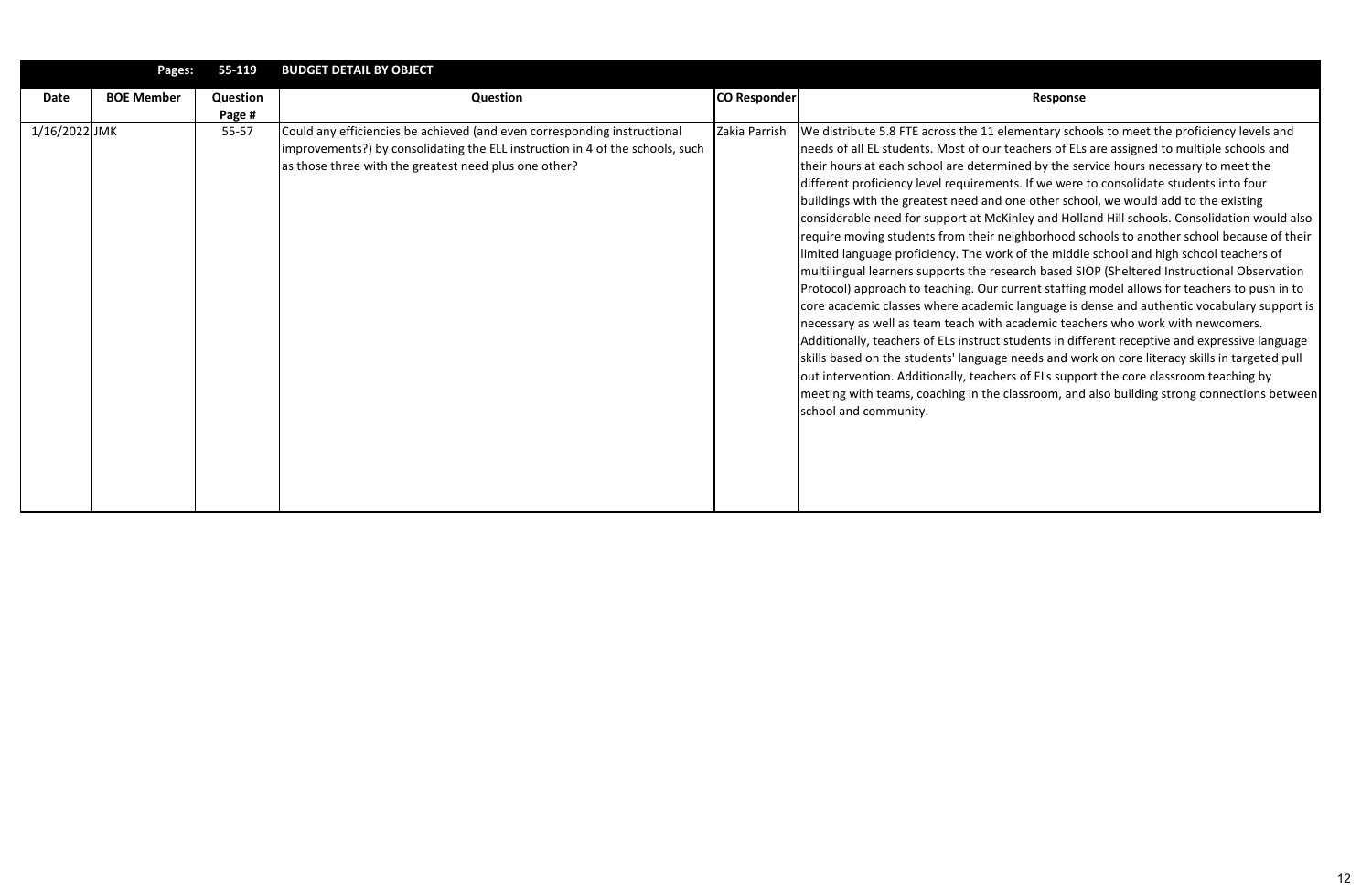|               | Pages:            | 55-119             | <b>BUDGET DETAIL BY OBJECT</b>                                                                                                                                                                                     |               |                                                                                                                                                                                                                                                                                                                                                                                                                                                                                                                                                                                                                                                                                                                                                                                                                                                                                                                                               |
|---------------|-------------------|--------------------|--------------------------------------------------------------------------------------------------------------------------------------------------------------------------------------------------------------------|---------------|-----------------------------------------------------------------------------------------------------------------------------------------------------------------------------------------------------------------------------------------------------------------------------------------------------------------------------------------------------------------------------------------------------------------------------------------------------------------------------------------------------------------------------------------------------------------------------------------------------------------------------------------------------------------------------------------------------------------------------------------------------------------------------------------------------------------------------------------------------------------------------------------------------------------------------------------------|
| Date          | <b>BOE Member</b> | Question<br>Page # | Question                                                                                                                                                                                                           | CO Responder  | Response                                                                                                                                                                                                                                                                                                                                                                                                                                                                                                                                                                                                                                                                                                                                                                                                                                                                                                                                      |
| 1/16/2022 JMK |                   | $55 - 57$          | Could any efficiencies be achieved (and even corresponding instructional<br>improvements?) by consolidating the ELL instruction in 4 of the schools, such<br>as those three with the greatest need plus one other? | Zakia Parrish | We distribute 5.8 FTE across the 11 elementary scho<br>needs of all EL students. Most of our teachers of ELs<br>their hours at each school are determined by the se<br>different proficiency level requirements. If we were<br>buildings with the greatest need and one other scho<br>considerable need for support at McKinley and Holla<br>require moving students from their neighborhood so<br>limited language proficiency. The work of the middle<br>multilingual learners supports the research based SI<br>Protocol) approach to teaching. Our current staffing<br>core academic classes where academic language is c<br>necessary as well as team teach with academic teac<br>Additionally, teachers of ELs instruct students in diff<br>skills based on the students' language needs and wo<br>out intervention. Additionally, teachers of ELs suppo<br>meeting with teams, coaching in the classroom, and<br>school and community. |

lementary schools to meet the proficiency levels and teachers of ELs are assigned to multiple schools and nined by the service hours necessary to meet the nts. If we were to consolidate students into four one other school, we would add to the existing Kinley and Holland Hill schools. Consolidation would also reighborhood schools to another school because of their rk of the middle school and high school teachers of search based SIOP (Sheltered Instructional Observation current staffing model allows for teachers to push in to ic language is dense and authentic vocabulary support is academic teachers who work with newcomers. students in different receptive and expressive language s needs and work on core literacy skills in targeted pull ers of ELs support the core classroom teaching by classroom, and also building strong connections between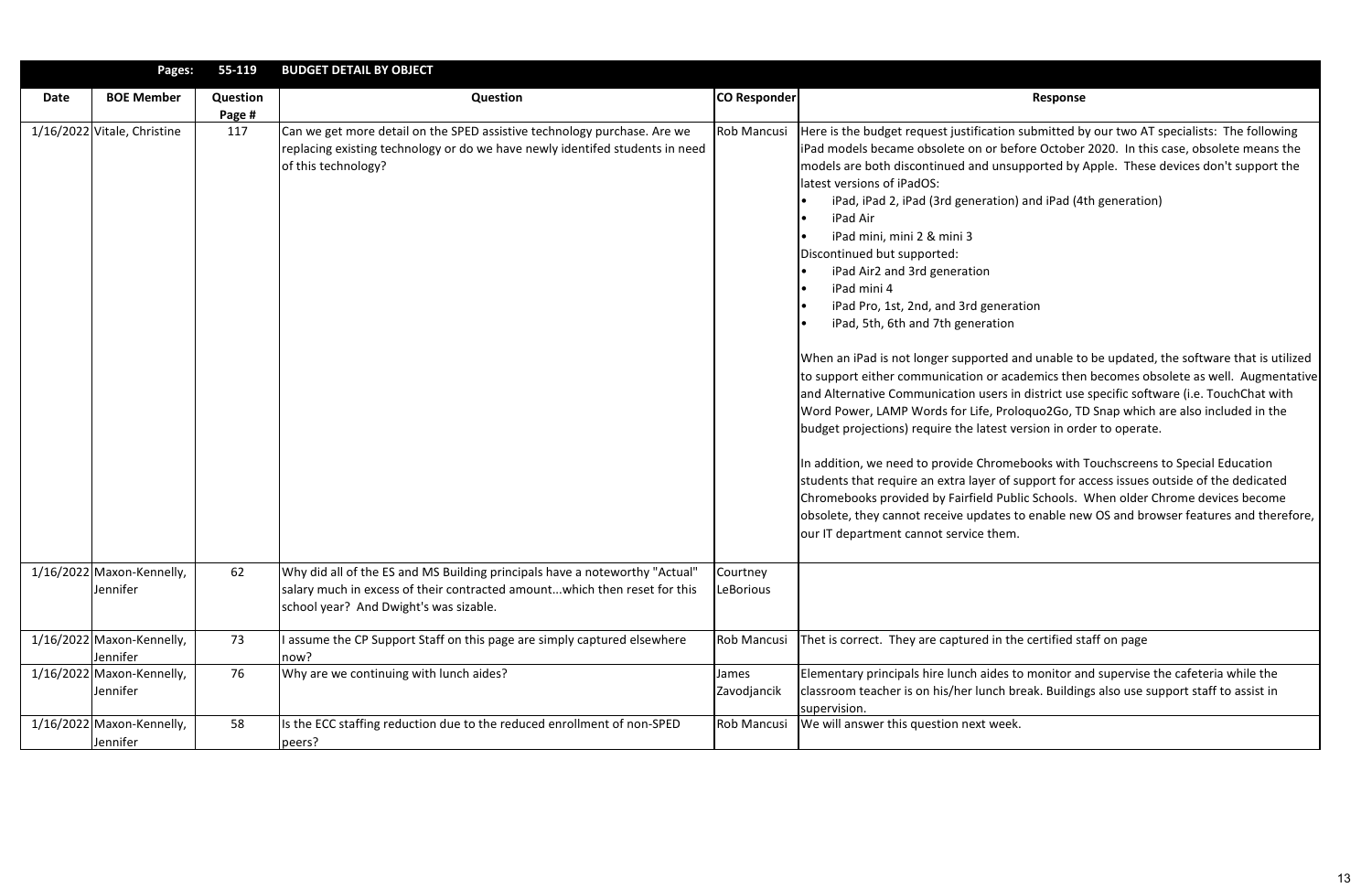|      | Pages:                                  | 55-119             | <b>BUDGET DETAIL BY OBJECT</b>                                                                                                                                                                     |                       |                                                                                                                                                                                                                                                                                                                                                                                                                                                                                                                                                                                                                                                                                                                                                                                                                                                                                                                                                                                                         |
|------|-----------------------------------------|--------------------|----------------------------------------------------------------------------------------------------------------------------------------------------------------------------------------------------|-----------------------|---------------------------------------------------------------------------------------------------------------------------------------------------------------------------------------------------------------------------------------------------------------------------------------------------------------------------------------------------------------------------------------------------------------------------------------------------------------------------------------------------------------------------------------------------------------------------------------------------------------------------------------------------------------------------------------------------------------------------------------------------------------------------------------------------------------------------------------------------------------------------------------------------------------------------------------------------------------------------------------------------------|
| Date | <b>BOE Member</b>                       | Question<br>Page # | Question                                                                                                                                                                                           | <b>CO Responder</b>   | Response                                                                                                                                                                                                                                                                                                                                                                                                                                                                                                                                                                                                                                                                                                                                                                                                                                                                                                                                                                                                |
|      | 1/16/2022 Vitale, Christine             | 117                | Can we get more detail on the SPED assistive technology purchase. Are we<br>replacing existing technology or do we have newly identifed students in need<br>of this technology?                    | <b>Rob Mancusi</b>    | Here is the budget request justification submitted b<br>iPad models became obsolete on or before October<br>models are both discontinued and unsupported by /<br>latest versions of iPadOS:<br>iPad, iPad 2, iPad (3rd generation) and iPad (4<br>iPad Air<br>iPad mini, mini 2 & mini 3<br>Discontinued but supported:<br>iPad Air2 and 3rd generation<br>iPad mini 4<br>iPad Pro, 1st, 2nd, and 3rd generation<br>iPad, 5th, 6th and 7th generation<br>When an iPad is not longer supported and unable to<br>to support either communication or academics then<br>and Alternative Communication users in district use<br>Word Power, LAMP Words for Life, Proloquo2Go, TI<br>budget projections) require the latest version in ord<br>In addition, we need to provide Chromebooks with<br>students that require an extra layer of support for a<br>Chromebooks provided by Fairfield Public Schools.<br>obsolete, they cannot receive updates to enable nev<br>our IT department cannot service them. |
|      | $1/16/2022$ Maxon-Kennelly,<br>Jennifer | 62                 | Why did all of the ES and MS Building principals have a noteworthy "Actual"<br>salary much in excess of their contracted amountwhich then reset for this<br>school year? And Dwight's was sizable. | Courtney<br>LeBorious |                                                                                                                                                                                                                                                                                                                                                                                                                                                                                                                                                                                                                                                                                                                                                                                                                                                                                                                                                                                                         |
|      | 1/16/2022 Maxon-Kennelly,<br>Jennifer   | 73                 | assume the CP Support Staff on this page are simply captured elsewhere<br>now?                                                                                                                     | <b>Rob Mancusi</b>    | Thet is correct. They are captured in the certified st                                                                                                                                                                                                                                                                                                                                                                                                                                                                                                                                                                                                                                                                                                                                                                                                                                                                                                                                                  |
|      | 1/16/2022 Maxon-Kennelly,<br>Jennifer   | 76                 | Why are we continuing with lunch aides?                                                                                                                                                            | James<br>Zavodjancik  | Elementary principals hire lunch aides to monitor ar<br>classroom teacher is on his/her lunch break. Building<br>supervision.                                                                                                                                                                                                                                                                                                                                                                                                                                                                                                                                                                                                                                                                                                                                                                                                                                                                           |
|      | 1/16/2022 Maxon-Kennelly,<br>Jennifer   | 58                 | Is the ECC staffing reduction due to the reduced enrollment of non-SPED<br>peers?                                                                                                                  | Rob Mancusi           | We will answer this question next week.                                                                                                                                                                                                                                                                                                                                                                                                                                                                                                                                                                                                                                                                                                                                                                                                                                                                                                                                                                 |

on submitted by our two AT specialists: The following efore October 2020. In this case, obsolete means the isupported by Apple. These devices don't support the

on) and iPad (4th generation)

and unable to be updated, the software that is utilized academics then becomes obsolete as well. Augmentative s in district use specific software (i.e. TouchChat with roloquo2Go, TD Snap which are also included in the t version in order to operate.

mebooks with Touchscreens to Special Education f support for access issues outside of the dedicated blic Schools. When older Chrome devices become is to enable new OS and browser features and therefore,

the certified staff on page

s to monitor and supervise the cafeteria while the break. Buildings also use support staff to assist in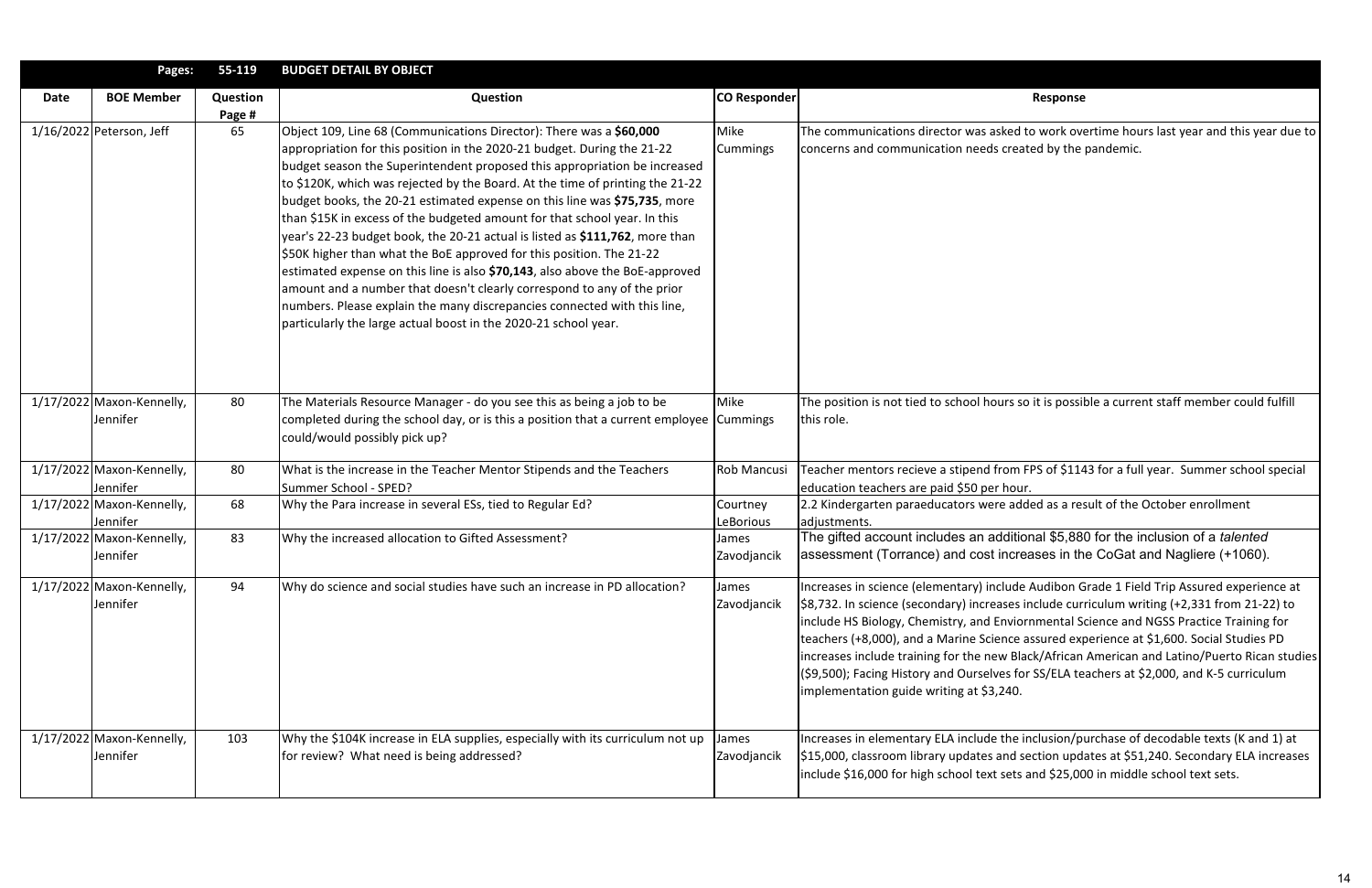|      | Pages:                                | 55-119             | <b>BUDGET DETAIL BY OBJECT</b>                                                                                                                                                                                                                                                                                                                                                                                                                                                                                                                                                                                                                                                                                                                                                                                                                                                                                                           |                       |                                                                                                                                                                                                                                                                                                                                                                                         |
|------|---------------------------------------|--------------------|------------------------------------------------------------------------------------------------------------------------------------------------------------------------------------------------------------------------------------------------------------------------------------------------------------------------------------------------------------------------------------------------------------------------------------------------------------------------------------------------------------------------------------------------------------------------------------------------------------------------------------------------------------------------------------------------------------------------------------------------------------------------------------------------------------------------------------------------------------------------------------------------------------------------------------------|-----------------------|-----------------------------------------------------------------------------------------------------------------------------------------------------------------------------------------------------------------------------------------------------------------------------------------------------------------------------------------------------------------------------------------|
| Date | <b>BOE Member</b>                     | Question<br>Page # | Question                                                                                                                                                                                                                                                                                                                                                                                                                                                                                                                                                                                                                                                                                                                                                                                                                                                                                                                                 | <b>CO Responder</b>   | Response                                                                                                                                                                                                                                                                                                                                                                                |
|      | 1/16/2022 Peterson, Jeff              | 65                 | Object 109, Line 68 (Communications Director): There was a \$60,000<br>appropriation for this position in the 2020-21 budget. During the 21-22<br>budget season the Superintendent proposed this appropriation be increased<br>to \$120K, which was rejected by the Board. At the time of printing the 21-22<br>budget books, the 20-21 estimated expense on this line was \$75,735, more<br>than \$15K in excess of the budgeted amount for that school year. In this<br>year's 22-23 budget book, the 20-21 actual is listed as \$111,762, more than<br>\$50K higher than what the BoE approved for this position. The 21-22<br>estimated expense on this line is also \$70,143, also above the BoE-approved<br>amount and a number that doesn't clearly correspond to any of the prior<br>numbers. Please explain the many discrepancies connected with this line,<br>particularly the large actual boost in the 2020-21 school year. | Mike<br>Cummings      | The communications director was asked to work ove<br>concerns and communication needs created by the                                                                                                                                                                                                                                                                                    |
|      | 1/17/2022 Maxon-Kennelly,<br>Jennifer | 80                 | The Materials Resource Manager - do you see this as being a job to be<br>completed during the school day, or is this a position that a current employee Cummings<br>could/would possibly pick up?                                                                                                                                                                                                                                                                                                                                                                                                                                                                                                                                                                                                                                                                                                                                        | Mike                  | The position is not tied to school hours so it is possil<br>this role.                                                                                                                                                                                                                                                                                                                  |
|      | 1/17/2022 Maxon-Kennelly,<br>Jennifer | 80                 | What is the increase in the Teacher Mentor Stipends and the Teachers<br>Summer School - SPED?                                                                                                                                                                                                                                                                                                                                                                                                                                                                                                                                                                                                                                                                                                                                                                                                                                            | Rob Mancusi           | Teacher mentors recieve a stipend from FPS of \$114<br>education teachers are paid \$50 per hour.                                                                                                                                                                                                                                                                                       |
|      | 1/17/2022 Maxon-Kennelly,<br>Jennifer | 68                 | Why the Para increase in several ESs, tied to Regular Ed?                                                                                                                                                                                                                                                                                                                                                                                                                                                                                                                                                                                                                                                                                                                                                                                                                                                                                | Courtney<br>LeBorious | 2.2 Kindergarten paraeducators were added as a res<br>adjustments.                                                                                                                                                                                                                                                                                                                      |
|      | 1/17/2022 Maxon-Kennelly,<br>Jennifer | 83                 | Why the increased allocation to Gifted Assessment?                                                                                                                                                                                                                                                                                                                                                                                                                                                                                                                                                                                                                                                                                                                                                                                                                                                                                       | James<br>Zavodjancik  | The gifted account includes an additional \$5,88<br>assessment (Torrance) and cost increases in th                                                                                                                                                                                                                                                                                      |
|      | 1/17/2022 Maxon-Kennelly,<br>Jennifer | 94                 | Why do science and social studies have such an increase in PD allocation?                                                                                                                                                                                                                                                                                                                                                                                                                                                                                                                                                                                                                                                                                                                                                                                                                                                                | James<br>Zavodjancik  | Increases in science (elementary) include Audibon G<br>\$8,732. In science (secondary) increases include curi<br>include HS Biology, Chemistry, and Enviornmental S<br>teachers (+8,000), and a Marine Science assured exp<br>increases include training for the new Black/African<br>(\$9,500); Facing History and Ourselves for SS/ELA te<br>implementation guide writing at \$3,240. |
|      | 1/17/2022 Maxon-Kennelly,<br>Jennifer | 103                | Why the \$104K increase in ELA supplies, especially with its curriculum not up<br>for review? What need is being addressed?                                                                                                                                                                                                                                                                                                                                                                                                                                                                                                                                                                                                                                                                                                                                                                                                              | James<br>Zavodjancik  | Increases in elementary ELA include the inclusion/pr<br>\$15,000, classroom library updates and section upd<br>include \$16,000 for high school text sets and \$25,00                                                                                                                                                                                                                   |

ked to work overtime hours last year and this year due to created by the pandemic.

Irs so it is possible a current staff member could fulfill

om FPS of \$1143 for a full year. Summer school special

2.2 added as a result of the October enrollment

ditional \$5,880 for the inclusion of a *talented* ncreases in the CoGat and Nagliere (+1060).

Iude Audibon Grade 1 Field Trip Assured experience at ses include curriculum writing (+2,331 from 21-22) to nviornmental Science and NGSS Practice Training for nce assured experience at \$1,600. Social Studies PD  $\mu$  Black/African American and Latino/Puerto Rican studies es for SS/ELA teachers at \$2,000, and K-5 curriculum

the inclusion/purchase of decodable texts (K and 1) at nd section updates at \$51,240. Secondary ELA increases ets and \$25,000 in middle school text sets.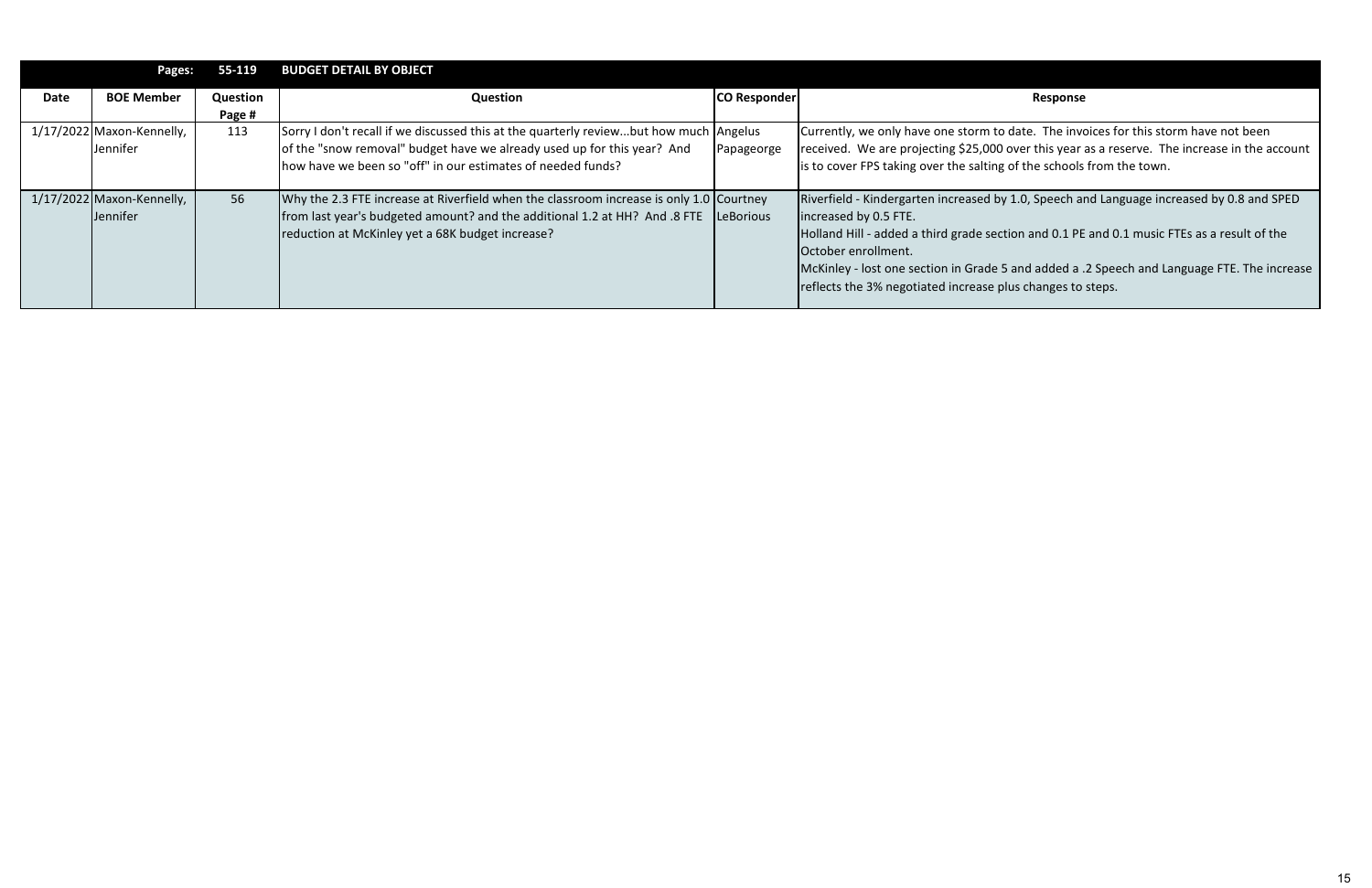|             | Pages:                                       | 55-119             | <b>BUDGET DETAIL BY OBJECT</b>                                                                                                                                                                                                  |                     |                                                                                                                                                                                                                                                                               |
|-------------|----------------------------------------------|--------------------|---------------------------------------------------------------------------------------------------------------------------------------------------------------------------------------------------------------------------------|---------------------|-------------------------------------------------------------------------------------------------------------------------------------------------------------------------------------------------------------------------------------------------------------------------------|
| <b>Date</b> | <b>BOE Member</b>                            | Question<br>Page # | Question                                                                                                                                                                                                                        | <b>CO Responder</b> | Response                                                                                                                                                                                                                                                                      |
|             | 1/17/2022 Maxon-Kennelly,<br>Jennifer        | 113                | Sorry I don't recall if we discussed this at the quarterly reviewbut how much Angelus<br>of the "snow removal" budget have we already used up for this year? And<br>how have we been so "off" in our estimates of needed funds? | Papageorge          | Currently, we only have one storm to date. The inve<br>received. We are projecting \$25,000 over this year<br>is to cover FPS taking over the salting of the schools                                                                                                          |
|             | 1/17/2022 Maxon-Kennelly,<br><b>Jennifer</b> | 56                 | Why the 2.3 FTE increase at Riverfield when the classroom increase is only 1.0 Courtney<br>from last year's budgeted amount? and the additional 1.2 at HH? And .8 FTE<br>reduction at McKinley yet a 68K budget increase?       | LeBorious           | Riverfield - Kindergarten increased by 1.0, Speech ar<br>lincreased by 0.5 FTE.<br>Holland Hill - added a third grade section and 0.1 PE<br>October enrollment.<br>McKinley - lost one section in Grade 5 and added a.<br>reflects the 3% negotiated increase plus changes to |

 $\alpha$  date. The invoices for this storm have not been over this year as a reserve. The increase in the account is of the schools from the town.

y 1.0, Speech and Language increased by 0.8 and SPED

tion and 0.1 PE and 0.1 music FTEs as a result of the

5 and added a .2 Speech and Language FTE. The increase reflus changes to steps.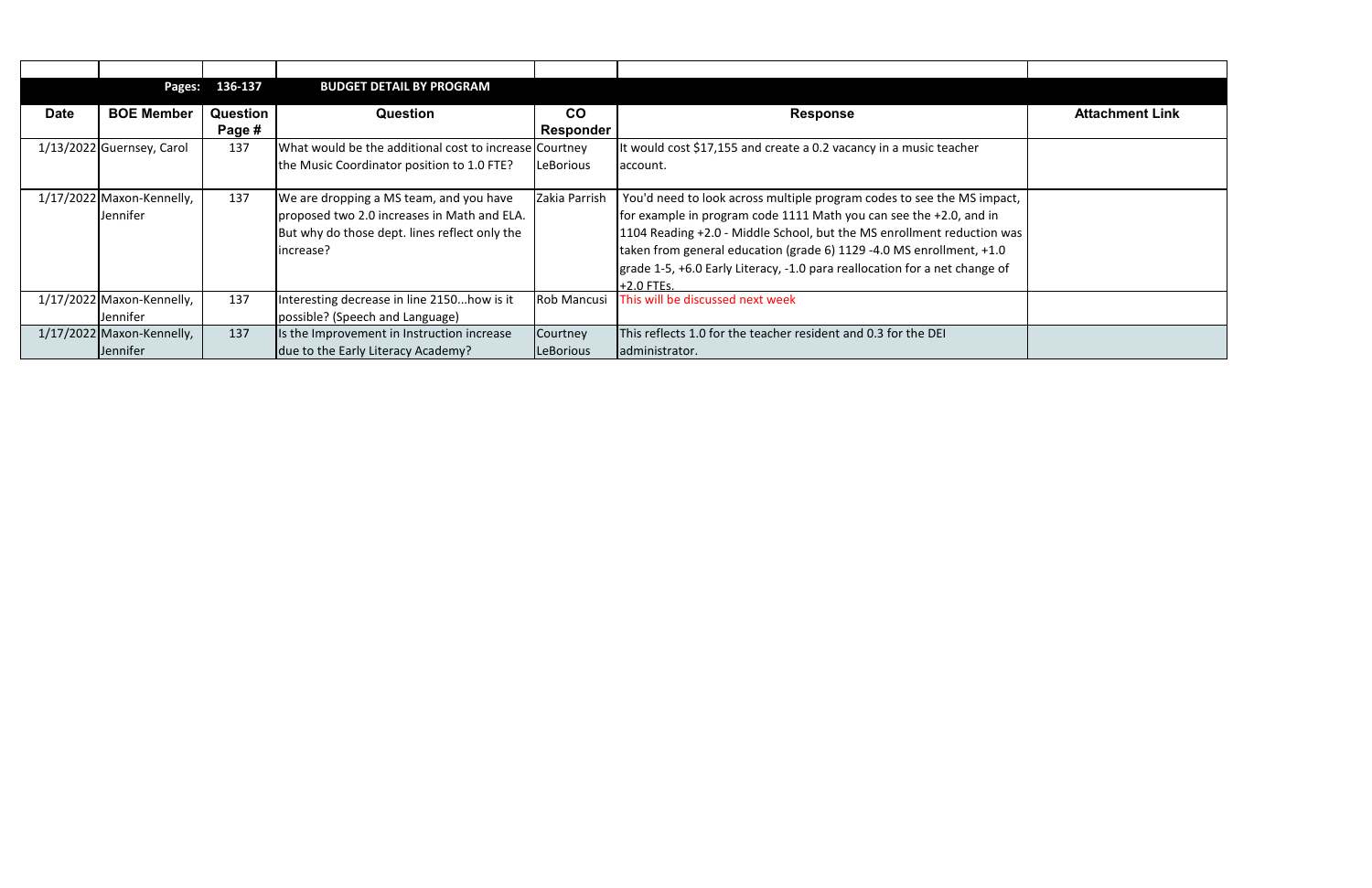|             | Pages:                    | 136-137  | <b>BUDGET DETAIL BY PROGRAM</b>                        |                    |                                                                            |                        |
|-------------|---------------------------|----------|--------------------------------------------------------|--------------------|----------------------------------------------------------------------------|------------------------|
| <b>Date</b> | <b>BOE Member</b>         | Question | <b>Question</b>                                        | <b>CO</b>          | <b>Response</b>                                                            | <b>Attachment Link</b> |
|             |                           | Page #   |                                                        | Responder          |                                                                            |                        |
|             | 1/13/2022 Guernsey, Carol | 137      | What would be the additional cost to increase Courtney |                    | It would cost \$17,155 and create a 0.2 vacancy in a music teacher         |                        |
|             |                           |          | the Music Coordinator position to 1.0 FTE?             | LeBorious          | account.                                                                   |                        |
|             |                           |          |                                                        |                    |                                                                            |                        |
|             | 1/17/2022 Maxon-Kennelly, | 137      | We are dropping a MS team, and you have                | Zakia Parrish      | You'd need to look across multiple program codes to see the MS impact,     |                        |
|             | Jennifer                  |          | proposed two 2.0 increases in Math and ELA.            |                    | for example in program code 1111 Math you can see the +2.0, and in         |                        |
|             |                           |          | But why do those dept. lines reflect only the          |                    | 1104 Reading +2.0 - Middle School, but the MS enrollment reduction was     |                        |
|             |                           |          | increase?                                              |                    | taken from general education (grade 6) 1129 -4.0 MS enrollment, +1.0       |                        |
|             |                           |          |                                                        |                    | grade 1-5, +6.0 Early Literacy, -1.0 para reallocation for a net change of |                        |
|             |                           |          |                                                        |                    | $+2.0$ FTEs.                                                               |                        |
|             | 1/17/2022 Maxon-Kennelly, | 137      | Interesting decrease in line 2150how is it             | <b>Rob Mancusi</b> | This will be discussed next week                                           |                        |
|             | Jennifer                  |          | possible? (Speech and Language)                        |                    |                                                                            |                        |
|             | 1/17/2022 Maxon-Kennelly, | 137      | Is the Improvement in Instruction increase             | Courtney           | This reflects 1.0 for the teacher resident and 0.3 for the DEI             |                        |
|             | Jennifer                  |          | due to the Early Literacy Academy?                     | LeBorious          | administrator.                                                             |                        |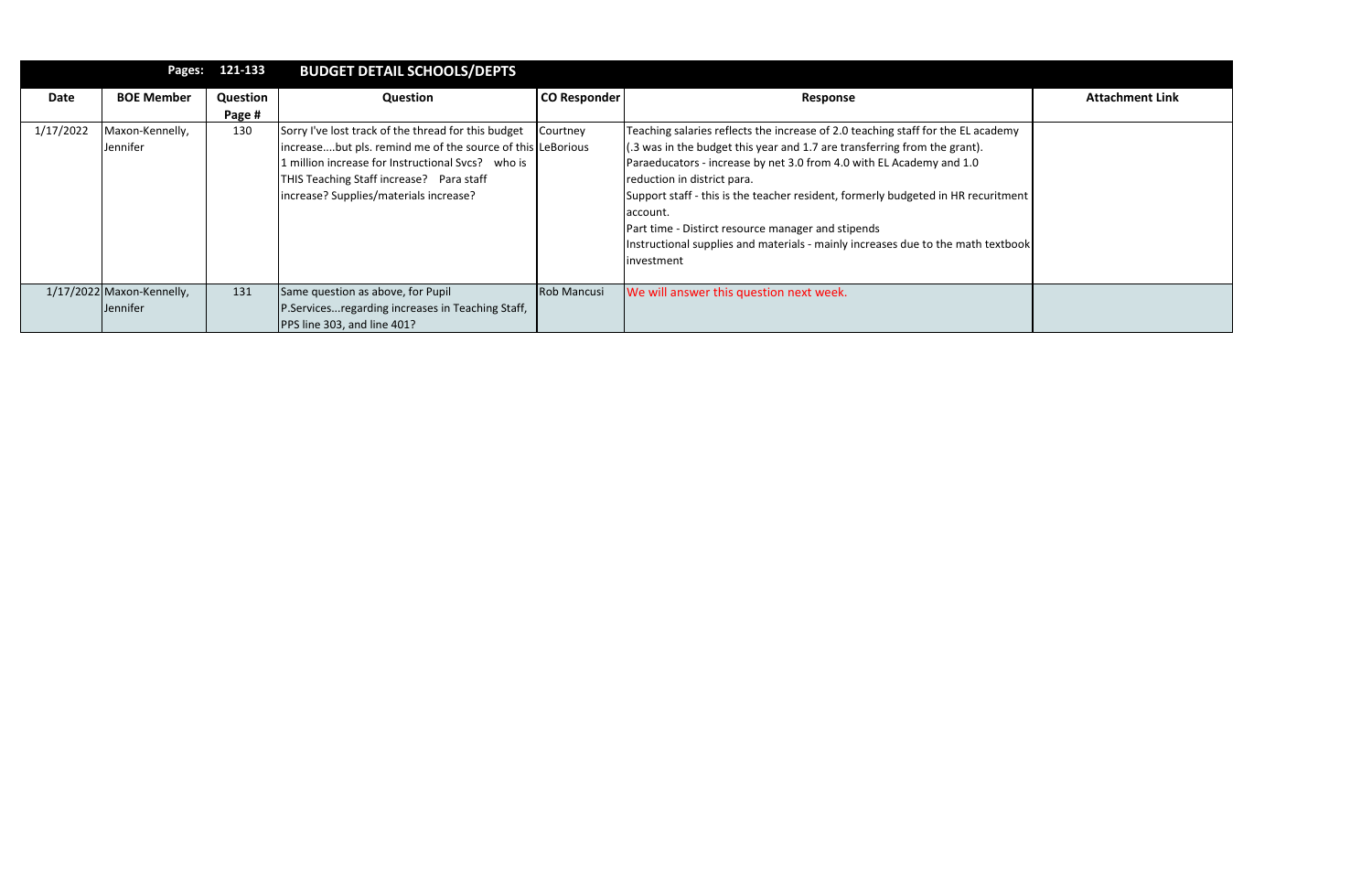|           | Pages:                    | 121-133  | <b>BUDGET DETAIL SCHOOLS/DEPTS</b>                         |                     |                                                                                     |                        |
|-----------|---------------------------|----------|------------------------------------------------------------|---------------------|-------------------------------------------------------------------------------------|------------------------|
| Date      | <b>BOE Member</b>         | Question | Question                                                   | <b>CO Responder</b> | Response                                                                            | <b>Attachment Link</b> |
|           |                           | Page #   |                                                            |                     |                                                                                     |                        |
| 1/17/2022 | Maxon-Kennelly,           | 130      | Sorry I've lost track of the thread for this budget        | Courtney            | Teaching salaries reflects the increase of 2.0 teaching staff for the EL academy    |                        |
|           | Jennifer                  |          | increasebut pls. remind me of the source of this LeBorious |                     | $(0.3 \text{ was in the budget this year and 1.7 are transferring from the grant).$ |                        |
|           |                           |          | L million increase for Instructional Svcs? who is          |                     | Paraeducators - increase by net 3.0 from 4.0 with EL Academy and 1.0                |                        |
|           |                           |          | THIS Teaching Staff increase? Para staff                   |                     | reduction in district para.                                                         |                        |
|           |                           |          | increase? Supplies/materials increase?                     |                     | Support staff - this is the teacher resident, formerly budgeted in HR recuritment   |                        |
|           |                           |          |                                                            |                     | account.                                                                            |                        |
|           |                           |          |                                                            |                     | Part time - Distirct resource manager and stipends                                  |                        |
|           |                           |          |                                                            |                     | Instructional supplies and materials - mainly increases due to the math textbook    |                        |
|           |                           |          |                                                            |                     | investment                                                                          |                        |
|           |                           |          |                                                            |                     |                                                                                     |                        |
|           | 1/17/2022 Maxon-Kennelly, | 131      | Same question as above, for Pupil                          | <b>Rob Mancusi</b>  | We will answer this question next week.                                             |                        |
|           | Jennifer                  |          | P.Servicesregarding increases in Teaching Staff,           |                     |                                                                                     |                        |
|           |                           |          | PPS line 303, and line 401?                                |                     |                                                                                     |                        |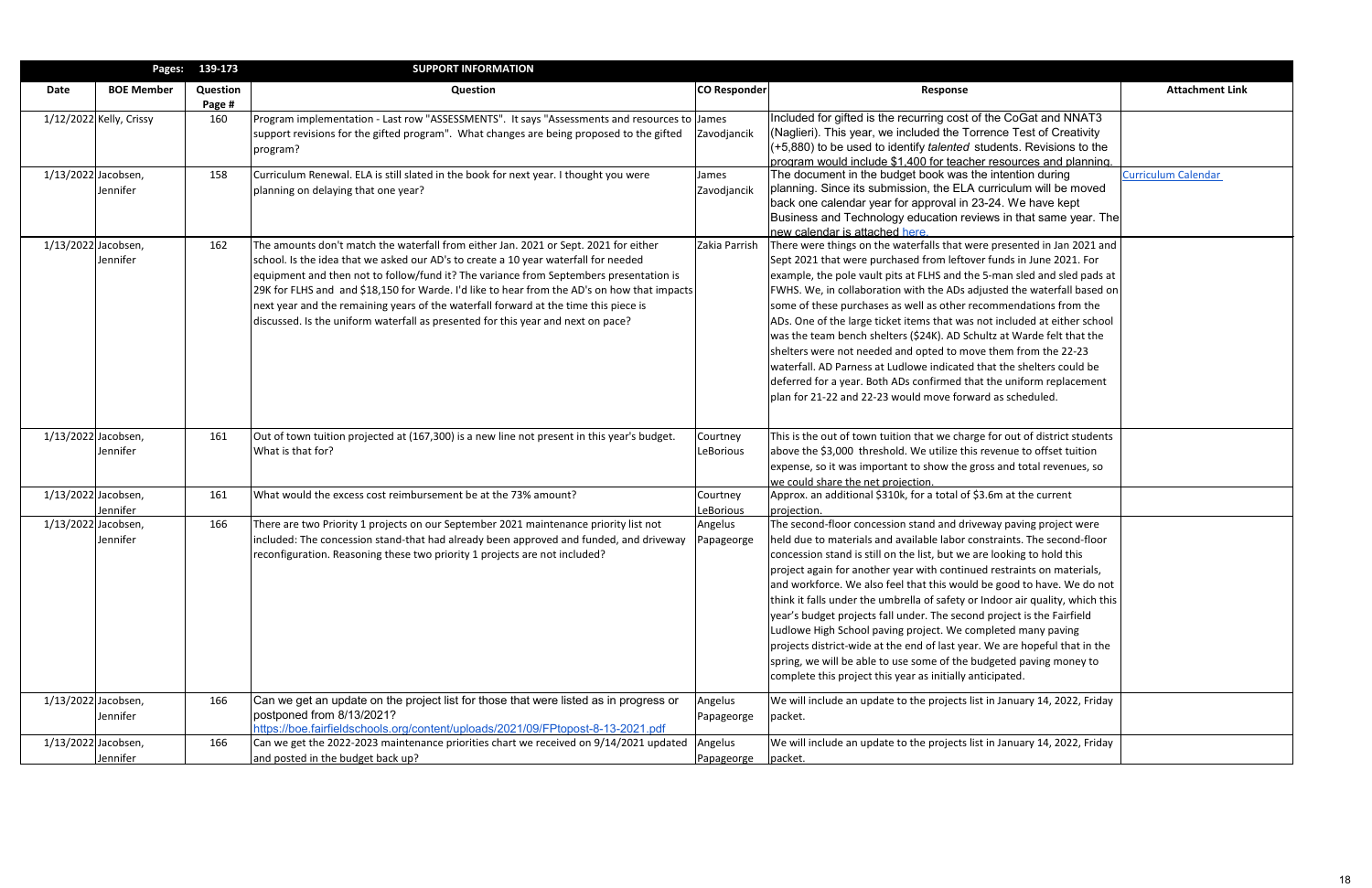|                     | Pages:                    | 139-173                   | <b>SUPPORT INFORMATION</b>                                                                   |                     |                                                                               |                            |
|---------------------|---------------------------|---------------------------|----------------------------------------------------------------------------------------------|---------------------|-------------------------------------------------------------------------------|----------------------------|
| Date                | <b>BOE Member</b>         | <b>Question</b><br>Page # | Question                                                                                     | <b>CO Responder</b> | <b>Response</b>                                                               | <b>Attachment Link</b>     |
|                     | $1/12/2022$ Kelly, Crissy | 160                       | Program implementation - Last row "ASSESSMENTS". It says "Assessments and resources to James |                     | Included for gifted is the recurring cost of the CoGat and NNAT3              |                            |
|                     |                           |                           | support revisions for the gifted program". What changes are being proposed to the gifted     | Zavodjancik         | (Naglieri). This year, we included the Torrence Test of Creativity            |                            |
|                     |                           |                           | program?                                                                                     |                     | (+5,880) to be used to identify <i>talented</i> students. Revisions to the    |                            |
|                     |                           |                           |                                                                                              |                     | program would include \$1.400 for teacher resources and planning.             |                            |
| 1/13/2022 Jacobsen, |                           | 158                       | Curriculum Renewal. ELA is still slated in the book for next year. I thought you were        | James               | The document in the budget book was the intention during                      | <b>Curriculum Calendar</b> |
|                     | <b>Jennifer</b>           |                           | planning on delaying that one year?                                                          | Zavodjancik         | planning. Since its submission, the ELA curriculum will be moved              |                            |
|                     |                           |                           |                                                                                              |                     | back one calendar year for approval in 23-24. We have kept                    |                            |
|                     |                           |                           |                                                                                              |                     | Business and Technology education reviews in that same year. The              |                            |
|                     |                           |                           |                                                                                              |                     | new calendar is attached here.                                                |                            |
| 1/13/2022 Jacobsen, |                           | 162                       | The amounts don't match the waterfall from either Jan. 2021 or Sept. 2021 for either         | Zakia Parrish       | There were things on the waterfalls that were presented in Jan 2021 and       |                            |
|                     | Jennifer                  |                           | school. Is the idea that we asked our AD's to create a 10 year waterfall for needed          |                     | Sept 2021 that were purchased from leftover funds in June 2021. For           |                            |
|                     |                           |                           | equipment and then not to follow/fund it? The variance from Septembers presentation is       |                     | example, the pole vault pits at FLHS and the 5-man sled and sled pads at      |                            |
|                     |                           |                           | 29K for FLHS and and \$18,150 for Warde. I'd like to hear from the AD's on how that impacts  |                     | FWHS. We, in collaboration with the ADs adjusted the waterfall based on       |                            |
|                     |                           |                           | next year and the remaining years of the waterfall forward at the time this piece is         |                     | some of these purchases as well as other recommendations from the             |                            |
|                     |                           |                           | discussed. Is the uniform waterfall as presented for this year and next on pace?             |                     | ADs. One of the large ticket items that was not included at either school     |                            |
|                     |                           |                           |                                                                                              |                     | was the team bench shelters (\$24K). AD Schultz at Warde felt that the        |                            |
|                     |                           |                           |                                                                                              |                     | shelters were not needed and opted to move them from the 22-23                |                            |
|                     |                           |                           |                                                                                              |                     | waterfall. AD Parness at Ludlowe indicated that the shelters could be         |                            |
|                     |                           |                           |                                                                                              |                     | deferred for a year. Both ADs confirmed that the uniform replacement          |                            |
|                     |                           |                           |                                                                                              |                     | plan for 21-22 and 22-23 would move forward as scheduled.                     |                            |
|                     |                           |                           |                                                                                              |                     |                                                                               |                            |
| 1/13/2022 Jacobsen, |                           | 161                       | Out of town tuition projected at (167,300) is a new line not present in this year's budget.  | Courtney            | This is the out of town tuition that we charge for out of district students   |                            |
|                     | Jennifer                  |                           | What is that for?                                                                            | LeBorious           | above the \$3,000 threshold. We utilize this revenue to offset tuition        |                            |
|                     |                           |                           |                                                                                              |                     | expense, so it was important to show the gross and total revenues, so         |                            |
|                     |                           |                           |                                                                                              |                     | we could share the net projection.                                            |                            |
| 1/13/2022 Jacobsen, |                           | 161                       | What would the excess cost reimbursement be at the 73% amount?                               | Courtney            | Approx. an additional \$310k, for a total of \$3.6m at the current            |                            |
|                     | Jennifer                  |                           |                                                                                              | LeBorious           | projection.                                                                   |                            |
| 1/13/2022 Jacobsen, |                           | 166                       | There are two Priority 1 projects on our September 2021 maintenance priority list not        | Angelus             | The second-floor concession stand and driveway paving project were            |                            |
|                     | Jennifer                  |                           | included: The concession stand-that had already been approved and funded, and driveway       | Papageorge          | held due to materials and available labor constraints. The second-floor       |                            |
|                     |                           |                           | reconfiguration. Reasoning these two priority 1 projects are not included?                   |                     | concession stand is still on the list, but we are looking to hold this        |                            |
|                     |                           |                           |                                                                                              |                     | project again for another year with continued restraints on materials,        |                            |
|                     |                           |                           |                                                                                              |                     | and workforce. We also feel that this would be good to have. We do not        |                            |
|                     |                           |                           |                                                                                              |                     | think it falls under the umbrella of safety or Indoor air quality, which this |                            |
|                     |                           |                           |                                                                                              |                     | year's budget projects fall under. The second project is the Fairfield        |                            |
|                     |                           |                           |                                                                                              |                     | Ludlowe High School paving project. We completed many paving                  |                            |
|                     |                           |                           |                                                                                              |                     | projects district-wide at the end of last year. We are hopeful that in the    |                            |
|                     |                           |                           |                                                                                              |                     | spring, we will be able to use some of the budgeted paving money to           |                            |
|                     |                           |                           |                                                                                              |                     | complete this project this year as initially anticipated.                     |                            |
| 1/13/2022 Jacobsen, |                           | 166                       | Can we get an update on the project list for those that were listed as in progress or        | Angelus             | We will include an update to the projects list in January 14, 2022, Friday    |                            |
|                     | Jennifer                  |                           | postponed from 8/13/2021?                                                                    | Papageorge          | packet.                                                                       |                            |
|                     |                           |                           | https://boe.fairfieldschools.org/content/uploads/2021/09/FPtopost-8-13-2021.pdf              |                     |                                                                               |                            |
| 1/13/2022 Jacobsen, |                           | 166                       | Can we get the 2022-2023 maintenance priorities chart we received on 9/14/2021 updated       | Angelus             | We will include an update to the projects list in January 14, 2022, Friday    |                            |
|                     | Jennifer                  |                           | and posted in the budget back up?                                                            | Papageorge          | packet.                                                                       |                            |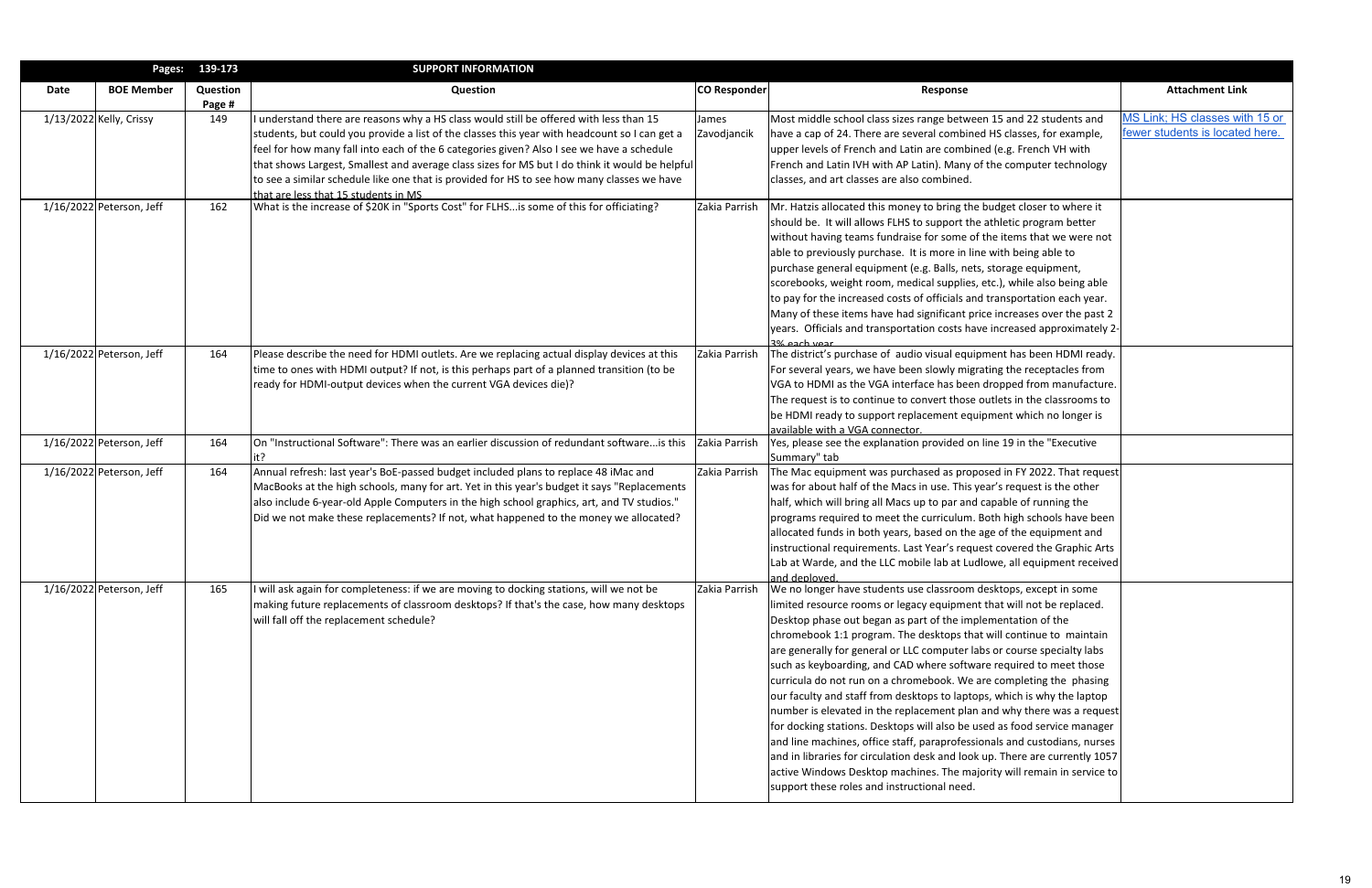|             | Pages:                     | 139-173            | <b>SUPPORT INFORMATION</b>                                                                     |               |                                                                                        |                                 |
|-------------|----------------------------|--------------------|------------------------------------------------------------------------------------------------|---------------|----------------------------------------------------------------------------------------|---------------------------------|
| <b>Date</b> | <b>BOE Member</b>          | Question<br>Page # | <b>Question</b>                                                                                | CO Responder  | Response                                                                               | <b>Attachment Link</b>          |
|             | $1/13/2022$ Kelly, Crissy  | 149                | understand there are reasons why a HS class would still be offered with less than 15           | James         | Most middle school class sizes range between 15 and 22 students and                    | MS Link; HS classes with 15 or  |
|             |                            |                    | students, but could you provide a list of the classes this year with headcount so I can get a  | Zavodjancik   | have a cap of 24. There are several combined HS classes, for example,                  | fewer students is located here. |
|             |                            |                    | feel for how many fall into each of the 6 categories given? Also I see we have a schedule      |               | upper levels of French and Latin are combined (e.g. French VH with                     |                                 |
|             |                            |                    | that shows Largest, Smallest and average class sizes for MS but I do think it would be helpful |               | French and Latin IVH with AP Latin). Many of the computer technology                   |                                 |
|             |                            |                    | to see a similar schedule like one that is provided for HS to see how many classes we have     |               | classes, and art classes are also combined.                                            |                                 |
|             |                            |                    | that are less that 15 students in MS                                                           |               |                                                                                        |                                 |
|             | $1/16/2022$ Peterson, Jeff | 162                | What is the increase of \$20K in "Sports Cost" for FLHSis some of this for officiating?        | Zakia Parrish | Mr. Hatzis allocated this money to bring the budget closer to where it                 |                                 |
|             |                            |                    |                                                                                                |               | should be. It will allows FLHS to support the athletic program better                  |                                 |
|             |                            |                    |                                                                                                |               | without having teams fundraise for some of the items that we were not                  |                                 |
|             |                            |                    |                                                                                                |               | able to previously purchase. It is more in line with being able to                     |                                 |
|             |                            |                    |                                                                                                |               | purchase general equipment (e.g. Balls, nets, storage equipment,                       |                                 |
|             |                            |                    |                                                                                                |               | scorebooks, weight room, medical supplies, etc.), while also being able                |                                 |
|             |                            |                    |                                                                                                |               | to pay for the increased costs of officials and transportation each year.              |                                 |
|             |                            |                    |                                                                                                |               | Many of these items have had significant price increases over the past 2               |                                 |
|             |                            |                    |                                                                                                |               | years. Officials and transportation costs have increased approximately 2-              |                                 |
|             | $1/16/2022$ Peterson, Jeff | 164                | Please describe the need for HDMI outlets. Are we replacing actual display devices at this     | Zakia Parrish | 3% each year<br>The district's purchase of audio visual equipment has been HDMI ready. |                                 |
|             |                            |                    | time to ones with HDMI output? If not, is this perhaps part of a planned transition (to be     |               | For several years, we have been slowly migrating the receptacles from                  |                                 |
|             |                            |                    | ready for HDMI-output devices when the current VGA devices die)?                               |               | VGA to HDMI as the VGA interface has been dropped from manufacture.                    |                                 |
|             |                            |                    |                                                                                                |               | The request is to continue to convert those outlets in the classrooms to               |                                 |
|             |                            |                    |                                                                                                |               | be HDMI ready to support replacement equipment which no longer is                      |                                 |
|             |                            |                    |                                                                                                |               | available with a VGA connector.                                                        |                                 |
|             | 1/16/2022 Peterson, Jeff   | 164                | On "Instructional Software": There was an earlier discussion of redundant software is this     | Zakia Parrish | Yes, please see the explanation provided on line 19 in the "Executive                  |                                 |
|             |                            |                    |                                                                                                |               | Summary" tab                                                                           |                                 |
|             | $1/16/2022$ Peterson, Jeff | 164                | Annual refresh: last year's BoE-passed budget included plans to replace 48 iMac and            | Zakia Parrish | The Mac equipment was purchased as proposed in FY 2022. That request                   |                                 |
|             |                            |                    | MacBooks at the high schools, many for art. Yet in this year's budget it says "Replacements    |               | was for about half of the Macs in use. This year's request is the other                |                                 |
|             |                            |                    | also include 6-year-old Apple Computers in the high school graphics, art, and TV studios."     |               | half, which will bring all Macs up to par and capable of running the                   |                                 |
|             |                            |                    | Did we not make these replacements? If not, what happened to the money we allocated?           |               | programs required to meet the curriculum. Both high schools have been                  |                                 |
|             |                            |                    |                                                                                                |               | allocated funds in both years, based on the age of the equipment and                   |                                 |
|             |                            |                    |                                                                                                |               | instructional requirements. Last Year's request covered the Graphic Arts               |                                 |
|             |                            |                    |                                                                                                |               | Lab at Warde, and the LLC mobile lab at Ludlowe, all equipment received                |                                 |
|             |                            |                    |                                                                                                |               | and deployed.                                                                          |                                 |
|             | $1/16/2022$ Peterson, Jeff | 165                | will ask again for completeness: if we are moving to docking stations, will we not be          | Zakia Parrish | We no longer have students use classroom desktops, except in some                      |                                 |
|             |                            |                    | making future replacements of classroom desktops? If that's the case, how many desktops        |               | limited resource rooms or legacy equipment that will not be replaced.                  |                                 |
|             |                            |                    | will fall off the replacement schedule?                                                        |               | Desktop phase out began as part of the implementation of the                           |                                 |
|             |                            |                    |                                                                                                |               | chromebook 1:1 program. The desktops that will continue to maintain                    |                                 |
|             |                            |                    |                                                                                                |               | are generally for general or LLC computer labs or course specialty labs                |                                 |
|             |                            |                    |                                                                                                |               | such as keyboarding, and CAD where software required to meet those                     |                                 |
|             |                            |                    |                                                                                                |               | curricula do not run on a chromebook. We are completing the phasing                    |                                 |
|             |                            |                    |                                                                                                |               | our faculty and staff from desktops to laptops, which is why the laptop                |                                 |
|             |                            |                    |                                                                                                |               | number is elevated in the replacement plan and why there was a request                 |                                 |
|             |                            |                    |                                                                                                |               | for docking stations. Desktops will also be used as food service manager               |                                 |
|             |                            |                    |                                                                                                |               | and line machines, office staff, paraprofessionals and custodians, nurses              |                                 |
|             |                            |                    |                                                                                                |               | and in libraries for circulation desk and look up. There are currently 1057            |                                 |
|             |                            |                    |                                                                                                |               | active Windows Desktop machines. The majority will remain in service to                |                                 |
|             |                            |                    |                                                                                                |               | support these roles and instructional need.                                            |                                 |